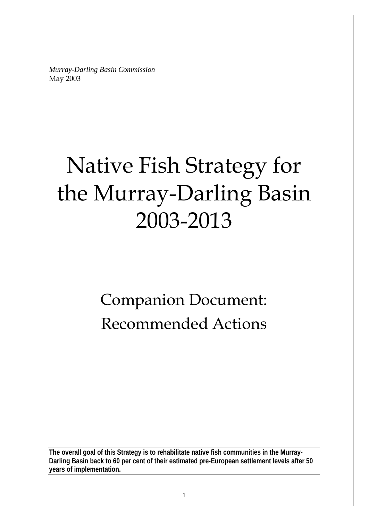*Murray-Darling Basin Commission*  May 2003

# Native Fish Strategy for the Murray-Darling Basin 2003-2013

# Companion Document: Recommended Actions

**The overall goal of this Strategy is to rehabilitate native fish communities in the Murray-Darling Basin back to 60 per cent of their estimated pre-European settlement levels after 50 years of implementation.**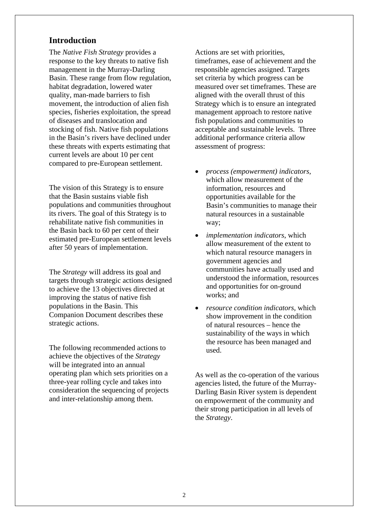## **Introduction**

The *Native Fish Strategy* provides a response to the key threats to native fish management in the Murray-Darling Basin. These range from flow regulation, habitat degradation, lowered water quality, man-made barriers to fish movement, the introduction of alien fish species, fisheries exploitation, the spread of diseases and translocation and stocking of fish. Native fish populations in the Basin's rivers have declined under these threats with experts estimating that current levels are about 10 per cent compared to pre-European settlement.

The vision of this Strategy is to ensure that the Basin sustains viable fish populations and communities throughout its rivers. The goal of this Strategy is to rehabilitate native fish communities in the Basin back to 60 per cent of their estimated pre-European settlement levels after 50 years of implementation.

The *Strategy* will address its goal and targets through strategic actions designed to achieve the 13 objectives directed at improving the status of native fish populations in the Basin. This Companion Document describes these strategic actions.

The following recommended actions to achieve the objectives of the *Strategy* will be integrated into an annual operating plan which sets priorities on a three-year rolling cycle and takes into consideration the sequencing of projects and inter-relationship among them.

Actions are set with priorities, timeframes, ease of achievement and the responsible agencies assigned. Targets set criteria by which progress can be measured over set timeframes. These are aligned with the overall thrust of this Strategy which is to ensure an integrated management approach to restore native fish populations and communities to acceptable and sustainable levels. Three additional performance criteria allow assessment of progress:

- *process (empowerment) indicators,* which allow measurement of the information, resources and opportunities available for the Basin's communities to manage their natural resources in a sustainable way;
- *implementation indicators*, which allow measurement of the extent to which natural resource managers in government agencies and communities have actually used and understood the information, resources and opportunities for on-ground works; and
- *resource condition indicators*, which show improvement in the condition of natural resources – hence the sustainability of the ways in which the resource has been managed and used.

As well as the co-operation of the various agencies listed, the future of the Murray-Darling Basin River system is dependent on empowerment of the community and their strong participation in all levels of the *Strategy*.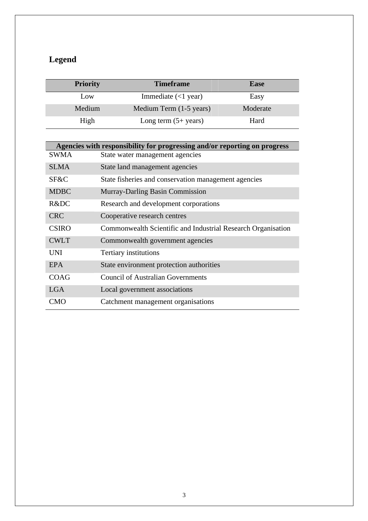# **Legend**

| <b>Priority</b> | <b>Timeframe</b>               | <b>Ease</b> |
|-----------------|--------------------------------|-------------|
| Low             | Immediate $(<1$ year)          | Easy        |
| Medium          | Medium Term (1-5 years)        | Moderate    |
| High            | Long term $(5+ \text{ years})$ | Hard        |

|              | Agencies with responsibility for progressing and/or reporting on progress |
|--------------|---------------------------------------------------------------------------|
| <b>SWMA</b>  | State water management agencies                                           |
| <b>SLMA</b>  | State land management agencies                                            |
| SF&C         | State fisheries and conservation management agencies                      |
| <b>MDBC</b>  | <b>Murray-Darling Basin Commission</b>                                    |
| R&DC         | Research and development corporations                                     |
| <b>CRC</b>   | Cooperative research centres                                              |
| <b>CSIRO</b> | Commonwealth Scientific and Industrial Research Organisation              |
| <b>CWLT</b>  | Commonwealth government agencies                                          |
| UNI          | Tertiary institutions                                                     |
| <b>EPA</b>   | State environment protection authorities                                  |
| COAG         | <b>Council of Australian Governments</b>                                  |
| LGA          | Local government associations                                             |
| <b>CMO</b>   | Catchment management organisations                                        |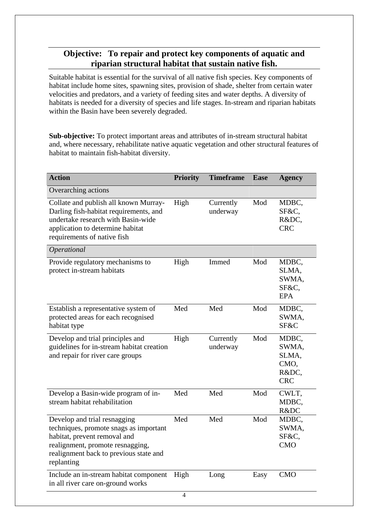# **Objective: To repair and protect key components of aquatic and riparian structural habitat that sustain native fish.**

Suitable habitat is essential for the survival of all native fish species. Key components of habitat include home sites, spawning sites, provision of shade, shelter from certain water velocities and predators, and a variety of feeding sites and water depths. A diversity of habitats is needed for a diversity of species and life stages. In-stream and riparian habitats within the Basin have been severely degraded.

**Sub-objective:** To protect important areas and attributes of in-stream structural habitat and, where necessary, rehabilitate native aquatic vegetation and other structural features of habitat to maintain fish-habitat diversity.

| <b>Action</b>                                                                                                                                                                                      | <b>Priority</b> | <b>Timeframe</b>      | <b>Ease</b> | <b>Agency</b>                                          |
|----------------------------------------------------------------------------------------------------------------------------------------------------------------------------------------------------|-----------------|-----------------------|-------------|--------------------------------------------------------|
| Overarching actions                                                                                                                                                                                |                 |                       |             |                                                        |
| Collate and publish all known Murray-<br>Darling fish-habitat requirements, and<br>undertake research with Basin-wide<br>application to determine habitat<br>requirements of native fish           | High            | Currently<br>underway | Mod         | MDBC,<br>SF&C,<br>R&DC,<br><b>CRC</b>                  |
| Operational                                                                                                                                                                                        |                 |                       |             |                                                        |
| Provide regulatory mechanisms to<br>protect in-stream habitats                                                                                                                                     | High            | Immed                 | Mod         | MDBC,<br>SLMA,<br>SWMA,<br>SF&C.<br><b>EPA</b>         |
| Establish a representative system of<br>protected areas for each recognised<br>habitat type                                                                                                        | Med             | Med                   | Mod         | MDBC,<br>SWMA,<br>SF&C                                 |
| Develop and trial principles and<br>guidelines for in-stream habitat creation<br>and repair for river care groups                                                                                  | High            | Currently<br>underway | Mod         | MDBC,<br>SWMA,<br>SLMA,<br>CMO,<br>R&DC,<br><b>CRC</b> |
| Develop a Basin-wide program of in-<br>stream habitat rehabilitation                                                                                                                               | Med             | Med                   | Mod         | CWLT,<br>MDBC,<br>R&DC                                 |
| Develop and trial resnagging<br>techniques, promote snags as important<br>habitat, prevent removal and<br>realignment, promote resnagging,<br>realignment back to previous state and<br>replanting | Med             | Med                   | Mod         | MDBC,<br>SWMA,<br>SF&C,<br><b>CMO</b>                  |
| Include an in-stream habitat component<br>in all river care on-ground works                                                                                                                        | High            | Long                  | Easy        | <b>CMO</b>                                             |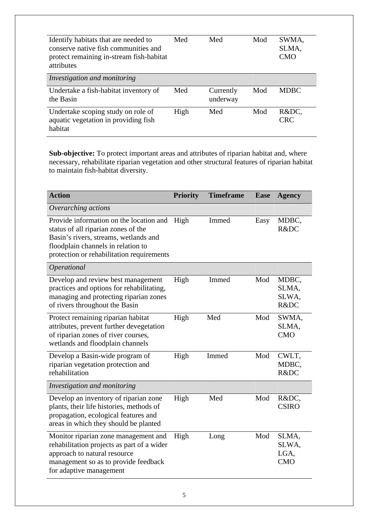| Identify habitats that are needed to<br>conserve native fish communities and<br>protect remaining in-stream fish-habitat<br>attributes | Med  | Med                   | Mod | SWMA,<br>SLMA,<br><b>CMO</b> |
|----------------------------------------------------------------------------------------------------------------------------------------|------|-----------------------|-----|------------------------------|
| Investigation and monitoring                                                                                                           |      |                       |     |                              |
| Undertake a fish-habitat inventory of<br>the Basin                                                                                     | Med  | Currently<br>underway | Mod | <b>MDBC</b>                  |
| Undertake scoping study on role of<br>aquatic vegetation in providing fish<br>habitat                                                  | High | Med                   | Mod | R&DC,<br><b>CRC</b>          |

**Sub-objective:** To protect important areas and attributes of riparian habitat and, where necessary, rehabilitate riparian vegetation and other structural features of riparian habitat to maintain fish-habitat diversity.

| <b>Action</b>                                                                                                                                                                                              | <b>Priority</b> | <b>Timeframe</b> | <b>Ease</b> | <b>Agency</b>                        |
|------------------------------------------------------------------------------------------------------------------------------------------------------------------------------------------------------------|-----------------|------------------|-------------|--------------------------------------|
| Overarching actions                                                                                                                                                                                        |                 |                  |             |                                      |
| Provide information on the location and<br>status of all riparian zones of the<br>Basin's rivers, streams, wetlands and<br>floodplain channels in relation to<br>protection or rehabilitation requirements | High            | Immed            | Easy        | MDBC,<br>R&DC                        |
| Operational                                                                                                                                                                                                |                 |                  |             |                                      |
| Develop and review best management<br>practices and options for rehabilitating,<br>managing and protecting riparian zones<br>of rivers throughout the Basin                                                | High            | Immed            | Mod         | MDBC,<br>SLMA,<br>SLWA,<br>R&DC      |
| Protect remaining riparian habitat<br>attributes, prevent further devegetation<br>of riparian zones of river courses,<br>wetlands and floodplain channels                                                  | High            | Med              | Mod         | SWMA,<br>SLMA,<br><b>CMO</b>         |
| Develop a Basin-wide program of<br>riparian vegetation protection and<br>rehabilitation                                                                                                                    | High            | Immed            | Mod         | CWLT,<br>MDBC,<br>R&DC               |
| Investigation and monitoring                                                                                                                                                                               |                 |                  |             |                                      |
| Develop an inventory of riparian zone<br>plants, their life histories, methods of<br>propagation, ecological features and<br>areas in which they should be planted                                         | High            | Med              | Mod         | R&DC,<br><b>CSIRO</b>                |
| Monitor riparian zone management and<br>rehabilitation projects as part of a wider<br>approach to natural resource<br>management so as to provide feedback<br>for adaptive management                      | High            | Long             | Mod         | SLMA,<br>SLWA,<br>LGA,<br><b>CMO</b> |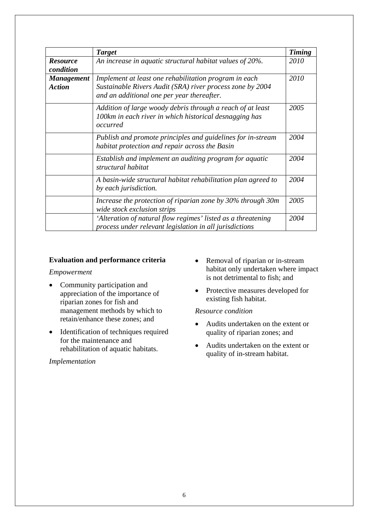|                                    | <b>Target</b>                                                                                                                                                    | <b>Timing</b> |
|------------------------------------|------------------------------------------------------------------------------------------------------------------------------------------------------------------|---------------|
| <b>Resource</b><br>condition       | An increase in aquatic structural habitat values of 20%.                                                                                                         | 2010          |
| <b>Management</b><br><b>Action</b> | Implement at least one rehabilitation program in each<br>Sustainable Rivers Audit (SRA) river process zone by 2004<br>and an additional one per year thereafter. | 2010          |
|                                    | Addition of large woody debris through a reach of at least<br>100km in each river in which historical desnagging has<br>occurred                                 | 2005          |
|                                    | Publish and promote principles and guidelines for in-stream<br>habitat protection and repair across the Basin                                                    | 2004          |
|                                    | Establish and implement an auditing program for aquatic<br>structural habitat                                                                                    | 2004          |
|                                    | A basin-wide structural habitat rehabilitation plan agreed to<br>by each jurisdiction.                                                                           | 2004          |
|                                    | Increase the protection of riparian zone by 30% through 30m<br>wide stock exclusion strips                                                                       | 2005          |
|                                    | 'Alteration of natural flow regimes' listed as a threatening<br>process under relevant legislation in all jurisdictions                                          | 2004          |

## **Evaluation and performance criteria**

## *Empowerment*

- Community participation and appreciation of the importance of riparian zones for fish and management methods by which to retain/enhance these zones; and
- Identification of techniques required for the maintenance and rehabilitation of aquatic habitats.

## *Implementation*

- Removal of riparian or in-stream habitat only undertaken where impact is not detrimental to fish; and
- Protective measures developed for existing fish habitat.

*Resource condition* 

- Audits undertaken on the extent or quality of riparian zones; and
- Audits undertaken on the extent or quality of in-stream habitat.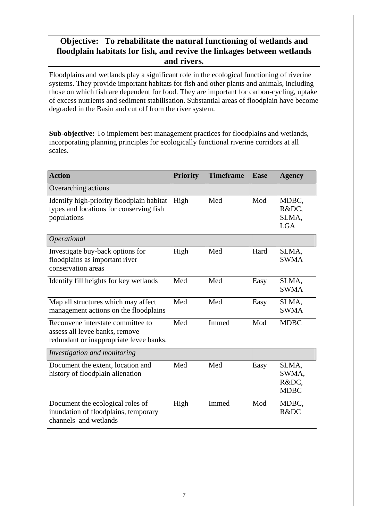# **Objective: To rehabilitate the natural functioning of wetlands and floodplain habitats for fish, and revive the linkages between wetlands and rivers***.*

Floodplains and wetlands play a significant role in the ecological functioning of riverine systems. They provide important habitats for fish and other plants and animals, including those on which fish are dependent for food. They are important for carbon-cycling, uptake of excess nutrients and sediment stabilisation. Substantial areas of floodplain have become degraded in the Basin and cut off from the river system.

**Sub-objective:** To implement best management practices for floodplains and wetlands, incorporating planning principles for ecologically functional riverine corridors at all scales.

| <b>Action</b>                                                                                                  | <b>Priority</b> | <b>Timeframe</b> | <b>Ease</b> | <b>Agency</b>                          |
|----------------------------------------------------------------------------------------------------------------|-----------------|------------------|-------------|----------------------------------------|
| Overarching actions                                                                                            |                 |                  |             |                                        |
| Identify high-priority floodplain habitat<br>types and locations for conserving fish<br>populations            | High            | Med              | Mod         | MDBC,<br>R&DC,<br>SLMA,<br><b>LGA</b>  |
| Operational                                                                                                    |                 |                  |             |                                        |
| Investigate buy-back options for<br>floodplains as important river<br>conservation areas                       | High            | Med              | Hard        | SLMA,<br><b>SWMA</b>                   |
| Identify fill heights for key wetlands                                                                         | Med             | Med              | Easy        | SLMA,<br><b>SWMA</b>                   |
| Map all structures which may affect<br>management actions on the floodplains                                   | Med             | Med              | Easy        | SLMA,<br><b>SWMA</b>                   |
| Reconvene interstate committee to<br>assess all levee banks, remove<br>redundant or inappropriate levee banks. | Med             | Immed            | Mod         | <b>MDBC</b>                            |
| Investigation and monitoring                                                                                   |                 |                  |             |                                        |
| Document the extent, location and<br>history of floodplain alienation                                          | Med             | Med              | Easy        | SLMA,<br>SWMA,<br>R&DC,<br><b>MDBC</b> |
| Document the ecological roles of<br>inundation of floodplains, temporary<br>channels and wetlands              | High            | Immed            | Mod         | MDBC,<br>R&DC                          |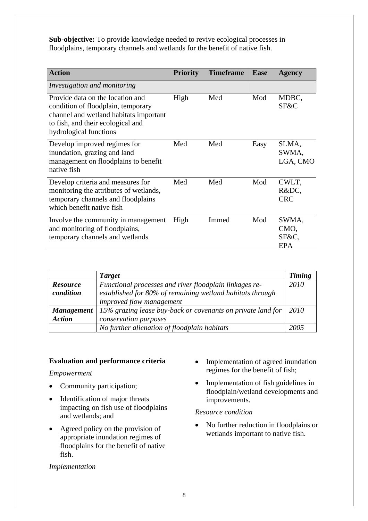**Sub-objective:** To provide knowledge needed to revive ecological processes in floodplains, temporary channels and wetlands for the benefit of native fish.

| <b>Action</b>                                                                                                                                                                   | <b>Priority</b> | <b>Timeframe</b> | <b>Ease</b> | <b>Agency</b>                        |
|---------------------------------------------------------------------------------------------------------------------------------------------------------------------------------|-----------------|------------------|-------------|--------------------------------------|
| Investigation and monitoring                                                                                                                                                    |                 |                  |             |                                      |
| Provide data on the location and<br>condition of floodplain, temporary<br>channel and wetland habitats important<br>to fish, and their ecological and<br>hydrological functions | High            | Med              | Mod         | MDBC,<br>SF&C                        |
| Develop improved regimes for<br>inundation, grazing and land<br>management on floodplains to benefit<br>native fish                                                             | Med             | Med              | Easy        | SLMA,<br>SWMA,<br>LGA, CMO           |
| Develop criteria and measures for<br>monitoring the attributes of wetlands,<br>temporary channels and floodplains<br>which benefit native fish                                  | Med             | Med              | Mod         | CWLT,<br>R&DC,<br><b>CRC</b>         |
| Involve the community in management<br>and monitoring of floodplains,<br>temporary channels and wetlands                                                                        | High            | Immed            | Mod         | SWMA,<br>CMO,<br>SF&C,<br><b>EPA</b> |

|                   | <b>Target</b>                                               | <b>Timing</b> |
|-------------------|-------------------------------------------------------------|---------------|
| <b>Resource</b>   | Functional processes and river floodplain linkages re-      | 2010          |
| condition         | established for 80% of remaining wetland habitats through   |               |
|                   | <i>improved flow management</i>                             |               |
| <b>Management</b> | 15% grazing lease buy-back or covenants on private land for | 2010          |
| <b>Action</b>     | conservation purposes                                       |               |
|                   | No further alienation of floodplain habitats                | 2005          |

## **Evaluation and performance criteria**

*Empowerment* 

- Community participation;
- Identification of major threats impacting on fish use of floodplains and wetlands; and
- Agreed policy on the provision of appropriate inundation regimes of floodplains for the benefit of native fish.

## *Implementation*

- Implementation of agreed inundation regimes for the benefit of fish;
- Implementation of fish guidelines in floodplain/wetland developments and improvements.

## *Resource condition*

• No further reduction in floodplains or wetlands important to native fish.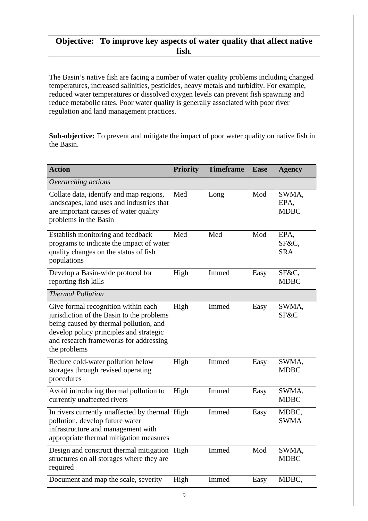## **Objective: To improve key aspects of water quality that affect native fish**.

The Basin's native fish are facing a number of water quality problems including changed temperatures, increased salinities, pesticides, heavy metals and turbidity. For example, reduced water temperatures or dissolved oxygen levels can prevent fish spawning and reduce metabolic rates. Poor water quality is generally associated with poor river regulation and land management practices.

**Sub-objective:** To prevent and mitigate the impact of poor water quality on native fish in the Basin.

| <b>Action</b>                                                                                                                                                                                                                   | <b>Priority</b> | <b>Timeframe</b> | <b>Ease</b> | <b>Agency</b>                |
|---------------------------------------------------------------------------------------------------------------------------------------------------------------------------------------------------------------------------------|-----------------|------------------|-------------|------------------------------|
| Overarching actions                                                                                                                                                                                                             |                 |                  |             |                              |
| Collate data, identify and map regions,<br>landscapes, land uses and industries that<br>are important causes of water quality<br>problems in the Basin                                                                          | Med             | Long             | Mod         | SWMA,<br>EPA,<br><b>MDBC</b> |
| Establish monitoring and feedback<br>programs to indicate the impact of water<br>quality changes on the status of fish<br>populations                                                                                           | Med             | Med              | Mod         | EPA,<br>SF&C,<br><b>SRA</b>  |
| Develop a Basin-wide protocol for<br>reporting fish kills                                                                                                                                                                       | High            | Immed            | Easy        | SF&C,<br><b>MDBC</b>         |
| <b>Thermal Pollution</b>                                                                                                                                                                                                        |                 |                  |             |                              |
| Give formal recognition within each<br>jurisdiction of the Basin to the problems<br>being caused by thermal pollution, and<br>develop policy principles and strategic<br>and research frameworks for addressing<br>the problems | High            | Immed            | Easy        | SWMA,<br>SF&C                |
| Reduce cold-water pollution below<br>storages through revised operating<br>procedures                                                                                                                                           | High            | Immed            | Easy        | SWMA,<br><b>MDBC</b>         |
| Avoid introducing thermal pollution to<br>currently unaffected rivers                                                                                                                                                           | High            | Immed            | Easy        | SWMA,<br><b>MDBC</b>         |
| In rivers currently unaffected by thermal High<br>pollution, develop future water<br>infrastructure and management with<br>appropriate thermal mitigation measures                                                              |                 | Immed            | Easy        | MDBC,<br><b>SWMA</b>         |
| Design and construct thermal mitigation High<br>structures on all storages where they are<br>required                                                                                                                           |                 | Immed            | Mod         | SWMA,<br><b>MDBC</b>         |
| Document and map the scale, severity                                                                                                                                                                                            | High            | Immed            | Easy        | MDBC,                        |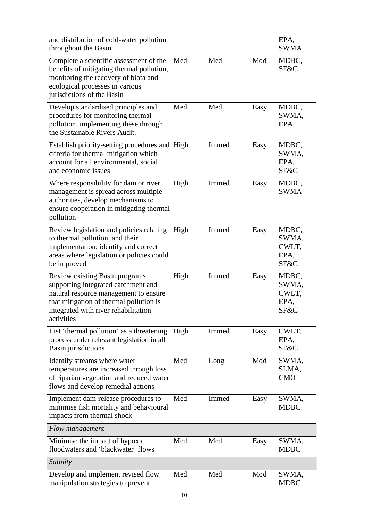| and distribution of cold-water pollution<br>throughout the Basin                                                                                                                                                |      |       |      | EPA,<br><b>SWMA</b>                     |
|-----------------------------------------------------------------------------------------------------------------------------------------------------------------------------------------------------------------|------|-------|------|-----------------------------------------|
| Complete a scientific assessment of the<br>benefits of mitigating thermal pollution,<br>monitoring the recovery of biota and<br>ecological processes in various<br>jurisdictions of the Basin                   | Med  | Med   | Mod  | MDBC,<br>SF&C                           |
| Develop standardised principles and<br>procedures for monitoring thermal<br>pollution, implementing these through<br>the Sustainable Rivers Audit.                                                              | Med  | Med   | Easy | MDBC,<br>SWMA,<br><b>EPA</b>            |
| Establish priority-setting procedures and High<br>criteria for thermal mitigation which<br>account for all environmental, social<br>and economic issues                                                         |      | Immed | Easy | MDBC,<br>SWMA,<br>EPA,<br>SF&C          |
| Where responsibility for dam or river<br>management is spread across multiple<br>authorities, develop mechanisms to<br>ensure cooperation in mitigating thermal<br>pollution                                    | High | Immed | Easy | MDBC,<br><b>SWMA</b>                    |
| Review legislation and policies relating<br>to thermal pollution, and their<br>implementation; identify and correct<br>areas where legislation or policies could<br>be improved                                 | High | Immed | Easy | MDBC,<br>SWMA,<br>CWLT,<br>EPA,<br>SF&C |
| Review existing Basin programs<br>supporting integrated catchment and<br>natural resource management to ensure<br>that mitigation of thermal pollution is<br>integrated with river rehabilitation<br>activities | High | Immed | Easy | MDBC,<br>SWMA,<br>CWLT,<br>EPA,<br>SF&C |
| List 'thermal pollution' as a threatening<br>process under relevant legislation in all<br><b>Basin</b> jurisdictions                                                                                            | High | Immed | Easy | CWLT,<br>EPA,<br>SF&C                   |
| Identify streams where water<br>temperatures are increased through loss<br>of riparian vegetation and reduced water<br>flows and develop remedial actions                                                       | Med  | Long  | Mod  | SWMA,<br>SLMA,<br><b>CMO</b>            |
| Implement dam-release procedures to<br>minimise fish mortality and behavioural<br>impacts from thermal shock                                                                                                    | Med  | Immed | Easy | SWMA,<br><b>MDBC</b>                    |
| Flow management                                                                                                                                                                                                 |      |       |      |                                         |
| Minimise the impact of hypoxic<br>floodwaters and 'blackwater' flows                                                                                                                                            | Med  | Med   | Easy | SWMA,<br><b>MDBC</b>                    |
| Salinity                                                                                                                                                                                                        |      |       |      |                                         |
| Develop and implement revised flow<br>manipulation strategies to prevent                                                                                                                                        | Med  | Med   | Mod  | SWMA,<br><b>MDBC</b>                    |
|                                                                                                                                                                                                                 |      |       |      |                                         |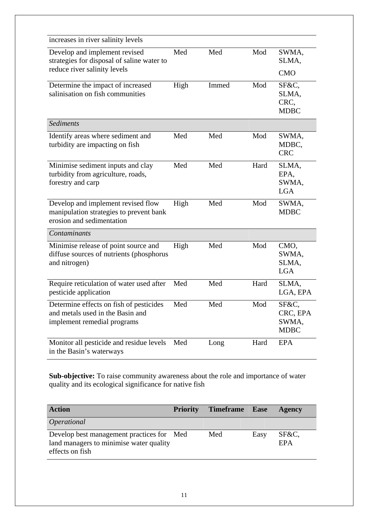| increases in river salinity levels                                                                         |      |       |      |                                           |
|------------------------------------------------------------------------------------------------------------|------|-------|------|-------------------------------------------|
| Develop and implement revised<br>strategies for disposal of saline water to                                | Med  | Med   | Mod  | SWMA,<br>SLMA,                            |
| reduce river salinity levels                                                                               |      |       |      | <b>CMO</b>                                |
| Determine the impact of increased<br>salinisation on fish communities                                      | High | Immed | Mod  | SF&C,<br>SLMA,<br>CRC,<br><b>MDBC</b>     |
| <b>Sediments</b>                                                                                           |      |       |      |                                           |
| Identify areas where sediment and<br>turbidity are impacting on fish                                       | Med  | Med   | Mod  | SWMA,<br>MDBC,<br><b>CRC</b>              |
| Minimise sediment inputs and clay<br>turbidity from agriculture, roads,<br>forestry and carp               | Med  | Med   | Hard | SLMA,<br>EPA,<br>SWMA,<br><b>LGA</b>      |
| Develop and implement revised flow<br>manipulation strategies to prevent bank<br>erosion and sedimentation | High | Med   | Mod  | SWMA,<br><b>MDBC</b>                      |
| Contaminants                                                                                               |      |       |      |                                           |
| Minimise release of point source and<br>diffuse sources of nutrients (phosphorus<br>and nitrogen)          | High | Med   | Mod  | CMO,<br>SWMA,<br>SLMA,<br><b>LGA</b>      |
| Require reticulation of water used after<br>pesticide application                                          | Med  | Med   | Hard | SLMA,<br>LGA, EPA                         |
| Determine effects on fish of pesticides<br>and metals used in the Basin and<br>implement remedial programs | Med  | Med   | Mod  | SF&C,<br>CRC, EPA<br>SWMA,<br><b>MDBC</b> |
| Monitor all pesticide and residue levels<br>in the Basin's waterways                                       | Med  | Long  | Hard | <b>EPA</b>                                |

**Sub-objective:** To raise community awareness about the role and importance of water quality and its ecological significance for native fish

| <b>Action</b>                                                                                           | <b>Priority</b> | Timeframe Ease |      | <b>Agency</b> |
|---------------------------------------------------------------------------------------------------------|-----------------|----------------|------|---------------|
| <i>Operational</i>                                                                                      |                 |                |      |               |
| Develop best management practices for Med<br>land managers to minimise water quality<br>effects on fish |                 | Med            | Easy | SF&C,<br>EPA  |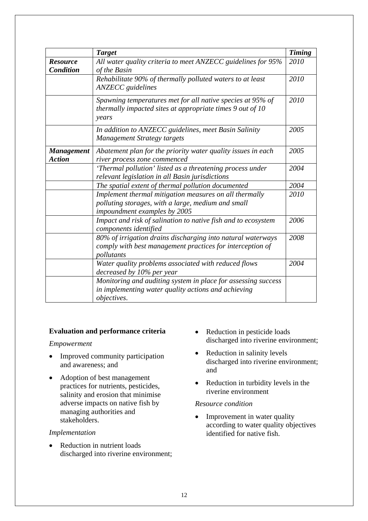|                                     | <b>Target</b>                                                                                                                                | <b>Timing</b> |
|-------------------------------------|----------------------------------------------------------------------------------------------------------------------------------------------|---------------|
| <b>Resource</b><br><b>Condition</b> | All water quality criteria to meet ANZECC guidelines for 95%<br>of the Basin                                                                 | 2010          |
|                                     | Rehabilitate 90% of thermally polluted waters to at least<br><b>ANZECC</b> guidelines                                                        | 2010          |
|                                     | Spawning temperatures met for all native species at 95% of<br>thermally impacted sites at appropriate times 9 out of 10<br>years             | 2010          |
|                                     | In addition to ANZECC guidelines, meet Basin Salinity<br><b>Management Strategy targets</b>                                                  | 2005          |
| <b>Management</b><br><b>Action</b>  | Abatement plan for the priority water quality issues in each<br>river process zone commenced                                                 | 2005          |
|                                     | 'Thermal pollution' listed as a threatening process under<br>relevant legislation in all Basin jurisdictions                                 | 2004          |
|                                     | The spatial extent of thermal pollution documented                                                                                           | 2004          |
|                                     | Implement thermal mitigation measures on all thermally<br>polluting storages, with a large, medium and small<br>impoundment examples by 2005 | 2010          |
|                                     | Impact and risk of salination to native fish and to ecosystem<br>components identified                                                       | 2006          |
|                                     | 80% of irrigation drains discharging into natural waterways<br>comply with best management practices for interception of<br>pollutants       | 2008          |
|                                     | Water quality problems associated with reduced flows<br>decreased by 10% per year                                                            | 2004          |
|                                     | Monitoring and auditing system in place for assessing success<br>in implementing water quality actions and achieving<br>objectives.          |               |

## **Evaluation and performance criteria**

## *Empowerment*

- Improved community participation and awareness; and
- Adoption of best management practices for nutrients, pesticides, salinity and erosion that minimise adverse impacts on native fish by managing authorities and stakeholders.

#### *Implementation*

• Reduction in nutrient loads discharged into riverine environment;

- Reduction in pesticide loads discharged into riverine environment;
- Reduction in salinity levels discharged into riverine environment; and
- Reduction in turbidity levels in the riverine environment

#### *Resource condition*

• Improvement in water quality according to water quality objectives identified for native fish.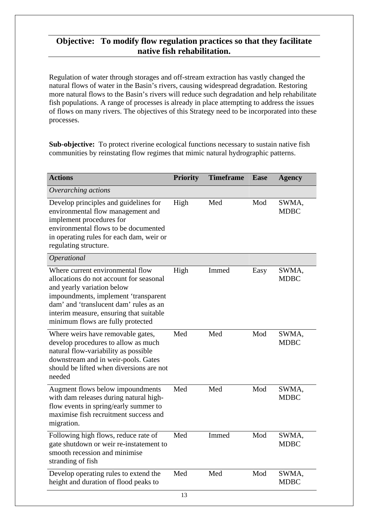## **Objective: To modify flow regulation practices so that they facilitate native fish rehabilitation.**

Regulation of water through storages and off-stream extraction has vastly changed the natural flows of water in the Basin's rivers, causing widespread degradation. Restoring more natural flows to the Basin's rivers will reduce such degradation and help rehabilitate fish populations. A range of processes is already in place attempting to address the issues of flows on many rivers. The objectives of this Strategy need to be incorporated into these processes.

**Sub-objective:** To protect riverine ecological functions necessary to sustain native fish communities by reinstating flow regimes that mimic natural hydrographic patterns.

| <b>Actions</b>                                                                                                                                                                                                                                                              | <b>Priority</b> | <b>Timeframe</b> | <b>Ease</b> | <b>Agency</b>        |
|-----------------------------------------------------------------------------------------------------------------------------------------------------------------------------------------------------------------------------------------------------------------------------|-----------------|------------------|-------------|----------------------|
| Overarching actions                                                                                                                                                                                                                                                         |                 |                  |             |                      |
| Develop principles and guidelines for<br>environmental flow management and<br>implement procedures for<br>environmental flows to be documented<br>in operating rules for each dam, weir or<br>regulating structure.                                                         | High            | Med              | Mod         | SWMA,<br><b>MDBC</b> |
| <i><b>Operational</b></i>                                                                                                                                                                                                                                                   |                 |                  |             |                      |
| Where current environmental flow<br>allocations do not account for seasonal<br>and yearly variation below<br>impoundments, implement 'transparent<br>dam' and 'translucent dam' rules as an<br>interim measure, ensuring that suitable<br>minimum flows are fully protected | High            | Immed            | Easy        | SWMA,<br><b>MDBC</b> |
| Where weirs have removable gates,<br>develop procedures to allow as much<br>natural flow-variability as possible<br>downstream and in weir-pools. Gates<br>should be lifted when diversions are not<br>needed                                                               | Med             | Med              | Mod         | SWMA,<br><b>MDBC</b> |
| Augment flows below impoundments<br>with dam releases during natural high-<br>flow events in spring/early summer to<br>maximise fish recruitment success and<br>migration.                                                                                                  | Med             | Med              | Mod         | SWMA,<br><b>MDBC</b> |
| Following high flows, reduce rate of<br>gate shutdown or weir re-instatement to<br>smooth recession and minimise<br>stranding of fish                                                                                                                                       | Med             | Immed            | Mod         | SWMA,<br><b>MDBC</b> |
| Develop operating rules to extend the<br>height and duration of flood peaks to                                                                                                                                                                                              | Med             | Med              | Mod         | SWMA,<br><b>MDBC</b> |
|                                                                                                                                                                                                                                                                             | 13              |                  |             |                      |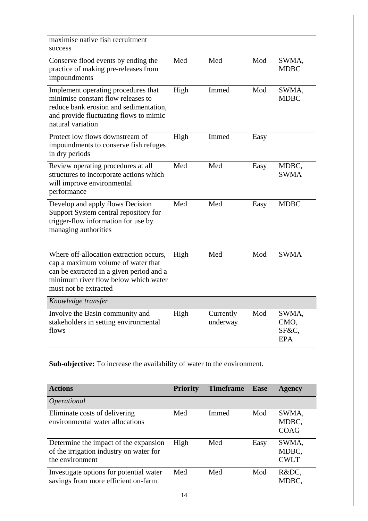| maximise native fish recruitment<br>success                                                                                                                                                |      |                       |      |                                      |
|--------------------------------------------------------------------------------------------------------------------------------------------------------------------------------------------|------|-----------------------|------|--------------------------------------|
| Conserve flood events by ending the<br>practice of making pre-releases from<br>impoundments                                                                                                | Med  | Med                   | Mod  | SWMA,<br><b>MDBC</b>                 |
| Implement operating procedures that<br>minimise constant flow releases to<br>reduce bank erosion and sedimentation,<br>and provide fluctuating flows to mimic<br>natural variation         | High | Immed                 | Mod  | SWMA,<br><b>MDBC</b>                 |
| Protect low flows downstream of<br>impoundments to conserve fish refuges<br>in dry periods                                                                                                 | High | Immed                 | Easy |                                      |
| Review operating procedures at all<br>structures to incorporate actions which<br>will improve environmental<br>performance                                                                 | Med  | Med                   | Easy | MDBC,<br><b>SWMA</b>                 |
| Develop and apply flows Decision<br>Support System central repository for<br>trigger-flow information for use by<br>managing authorities                                                   | Med  | Med                   | Easy | <b>MDBC</b>                          |
| Where off-allocation extraction occurs,<br>cap a maximum volume of water that<br>can be extracted in a given period and a<br>minimum river flow below which water<br>must not be extracted | High | Med                   | Mod  | <b>SWMA</b>                          |
| Knowledge transfer                                                                                                                                                                         |      |                       |      |                                      |
| Involve the Basin community and<br>stakeholders in setting environmental<br>flows                                                                                                          | High | Currently<br>underway | Mod  | SWMA,<br>CMO,<br>SF&C,<br><b>EPA</b> |

**Sub-objective:** To increase the availability of water to the environment.

| <b>Actions</b>                                                                                      | <b>Priority</b> | <b>Timeframe</b> Ease |      | <b>Agency</b>                 |
|-----------------------------------------------------------------------------------------------------|-----------------|-----------------------|------|-------------------------------|
| <i><b>Operational</b></i>                                                                           |                 |                       |      |                               |
| Eliminate costs of delivering<br>environmental water allocations                                    | Med             | Immed                 | Mod  | SWMA,<br>MDBC,<br><b>COAG</b> |
| Determine the impact of the expansion<br>of the irrigation industry on water for<br>the environment | High            | Med                   | Easy | SWMA,<br>MDBC,<br><b>CWLT</b> |
| Investigate options for potential water<br>savings from more efficient on-farm                      | Med             | Med                   | Mod  | R&DC,<br>MDBC,                |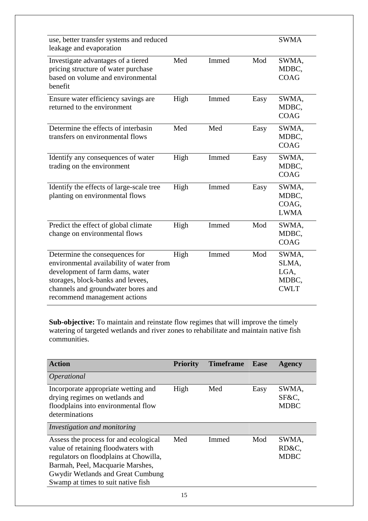| use, better transfer systems and reduced     |      |       |      | <b>SWMA</b> |
|----------------------------------------------|------|-------|------|-------------|
| leakage and evaporation                      |      |       |      |             |
| Investigate advantages of a tiered           | Med  | Immed | Mod  | SWMA,       |
| pricing structure of water purchase          |      |       |      | MDBC,       |
| based on volume and environmental<br>benefit |      |       |      | <b>COAG</b> |
| Ensure water efficiency savings are          | High | Immed | Easy | SWMA,       |
| returned to the environment                  |      |       |      | MDBC.       |
|                                              |      |       |      | <b>COAG</b> |
| Determine the effects of interbasin          | Med  | Med   | Easy | SWMA,       |
| transfers on environmental flows             |      |       |      | MDBC,       |
|                                              |      |       |      | <b>COAG</b> |
| Identify any consequences of water           | High | Immed | Easy | SWMA,       |
| trading on the environment                   |      |       |      | MDBC,       |
|                                              |      |       |      | <b>COAG</b> |
| Identify the effects of large-scale tree     | High | Immed | Easy | SWMA,       |
| planting on environmental flows              |      |       |      | MDBC,       |
|                                              |      |       |      | COAG,       |
|                                              |      |       |      | <b>LWMA</b> |
| Predict the effect of global climate         | High | Immed | Mod  | SWMA,       |
| change on environmental flows                |      |       |      | MDBC,       |
|                                              |      |       |      | <b>COAG</b> |
| Determine the consequences for               | High | Immed | Mod  | SWMA,       |
| environmental availability of water from     |      |       |      | SLMA,       |
| development of farm dams, water              |      |       |      | LGA,        |
| storages, block-banks and levees,            |      |       |      | MDBC,       |
| channels and groundwater bores and           |      |       |      | <b>CWLT</b> |
| recommend management actions                 |      |       |      |             |

**Sub-objective:** To maintain and reinstate flow regimes that will improve the timely watering of targeted wetlands and river zones to rehabilitate and maintain native fish communities.

| <b>Action</b>                                                                                                                                                                                                                         | <b>Priority</b> | <b>Timeframe</b> | <b>Ease</b> | <b>Agency</b>                 |
|---------------------------------------------------------------------------------------------------------------------------------------------------------------------------------------------------------------------------------------|-----------------|------------------|-------------|-------------------------------|
| <i><b>Operational</b></i>                                                                                                                                                                                                             |                 |                  |             |                               |
| Incorporate appropriate wetting and<br>drying regimes on wetlands and<br>floodplains into environmental flow<br>determinations                                                                                                        | High            | Med              | Easy        | SWMA,<br>SF&C,<br><b>MDBC</b> |
| Investigation and monitoring                                                                                                                                                                                                          |                 |                  |             |                               |
| Assess the process for and ecological<br>value of retaining floodwaters with<br>regulators on floodplains at Chowilla,<br>Barmah, Peel, Macquarie Marshes,<br>Gwydir Wetlands and Great Cumbung<br>Swamp at times to suit native fish | Med             | Immed            | Mod         | SWMA,<br>RD&C,<br><b>MDBC</b> |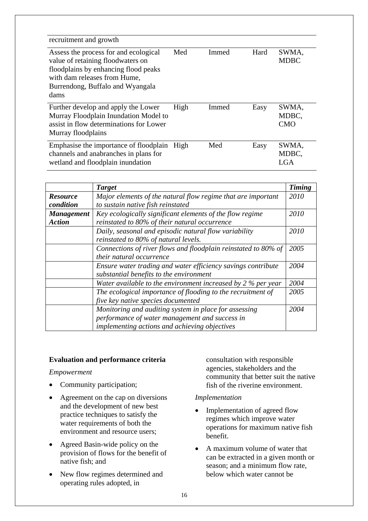| recruitment and growth                                                                                                                                                                         |      |       |      |                              |
|------------------------------------------------------------------------------------------------------------------------------------------------------------------------------------------------|------|-------|------|------------------------------|
| Assess the process for and ecological<br>value of retaining floodwaters on<br>floodplains by enhancing flood peaks<br>with dam releases from Hume.<br>Burrendong, Buffalo and Wyangala<br>dams | Med  | Immed | Hard | SWMA,<br><b>MDBC</b>         |
| Further develop and apply the Lower<br>Murray Floodplain Inundation Model to<br>assist in flow determinations for Lower<br>Murray floodplains                                                  | High | Immed | Easy | SWMA,<br>MDBC,<br><b>CMO</b> |
| Emphasise the importance of floodplain<br>channels and anabranches in plans for<br>wetland and floodplain inundation                                                                           | High | Med   | Easy | SWMA.<br>MDBC,<br>LGA        |

|                   | <b>Target</b>                                                  | <b>Timing</b> |
|-------------------|----------------------------------------------------------------|---------------|
| <b>Resource</b>   | Major elements of the natural flow regime that are important   | 2010          |
| condition         | to sustain native fish reinstated                              |               |
| <b>Management</b> | Key ecologically significant elements of the flow regime       | 2010          |
| <b>Action</b>     | reinstated to 80% of their natural occurrence                  |               |
|                   | Daily, seasonal and episodic natural flow variability          | 2010          |
|                   | reinstated to 80% of natural levels.                           |               |
|                   | Connections of river flows and floodplain reinstated to 80% of | 2005          |
|                   | their natural occurrence                                       |               |
|                   | Ensure water trading and water efficiency savings contribute   | 2004          |
|                   | substantial benefits to the environment                        |               |
|                   | Water available to the environment increased by $2\%$ per year | 2004          |
|                   | The ecological importance of flooding to the recruitment of    | 2005          |
|                   | five key native species documented                             |               |
|                   | Monitoring and auditing system in place for assessing          | 2004          |
|                   | performance of water management and success in                 |               |
|                   | implementing actions and achieving objectives                  |               |

## **Evaluation and performance criteria**

## *Empowerment*

- Community participation;
- Agreement on the cap on diversions and the development of new best practice techniques to satisfy the water requirements of both the environment and resource users;
- Agreed Basin-wide policy on the provision of flows for the benefit of native fish; and
- New flow regimes determined and operating rules adopted, in

consultation with responsible agencies, stakeholders and the community that better suit the native fish of the riverine environment.

## *Implementation*

- Implementation of agreed flow regimes which improve water operations for maximum native fish benefit.
- A maximum volume of water that can be extracted in a given month or season; and a minimum flow rate, below which water cannot be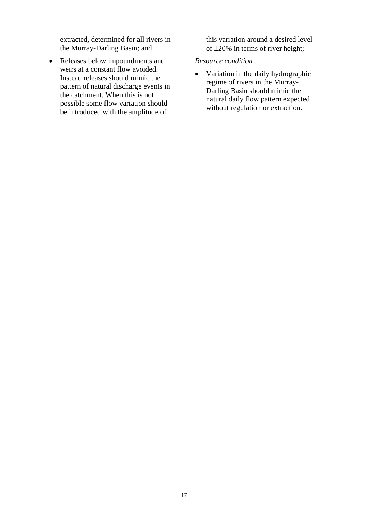extracted, determined for all rivers in the Murray-Darling Basin; and

• Releases below impoundments and weirs at a constant flow avoided. Instead releases should mimic the pattern of natural discharge events in the catchment. When this is not possible some flow variation should be introduced with the amplitude of

this variation around a desired level of ±20% in terms of river height;

## *Resource condition*

• Variation in the daily hydrographic regime of rivers in the Murray-Darling Basin should mimic the natural daily flow pattern expected without regulation or extraction.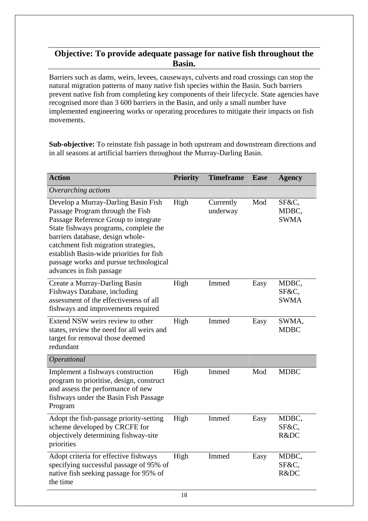# **Objective: To provide adequate passage for native fish throughout the Basin.**

Barriers such as dams, weirs, levees, causeways, culverts and road crossings can stop the natural migration patterns of many native fish species within the Basin. Such barriers prevent native fish from completing key components of their lifecycle. State agencies have recognised more than 3 600 barriers in the Basin, and only a small number have implemented engineering works or operating procedures to mitigate their impacts on fish movements.

**Sub-objective:** To reinstate fish passage in both upstream and downstream directions and in all seasons at artificial barriers throughout the Murray-Darling Basin.

| <b>Action</b>                                                                                                                                                                                                                                                                                                                                          | <b>Priority</b> | <b>Timeframe</b>      | <b>Ease</b> | <b>Agency</b>                 |
|--------------------------------------------------------------------------------------------------------------------------------------------------------------------------------------------------------------------------------------------------------------------------------------------------------------------------------------------------------|-----------------|-----------------------|-------------|-------------------------------|
| Overarching actions                                                                                                                                                                                                                                                                                                                                    |                 |                       |             |                               |
| Develop a Murray-Darling Basin Fish<br>Passage Program through the Fish<br>Passage Reference Group to integrate<br>State fishways programs, complete the<br>barriers database, design whole-<br>catchment fish migration strategies,<br>establish Basin-wide priorities for fish<br>passage works and pursue technological<br>advances in fish passage | High            | Currently<br>underway | Mod         | SF&C,<br>MDBC,<br><b>SWMA</b> |
| Create a Murray-Darling Basin<br>Fishways Database, including<br>assessment of the effectiveness of all<br>fishways and improvements required                                                                                                                                                                                                          | High            | Immed                 | Easy        | MDBC,<br>SF&C,<br><b>SWMA</b> |
| Extend NSW weirs review to other<br>states, review the need for all weirs and<br>target for removal those deemed<br>redundant                                                                                                                                                                                                                          | High            | Immed                 | Easy        | SWMA,<br><b>MDBC</b>          |
| Operational                                                                                                                                                                                                                                                                                                                                            |                 |                       |             |                               |
| Implement a fishways construction<br>program to prioritise, design, construct<br>and assess the performance of new<br>fishways under the Basin Fish Passage<br>Program                                                                                                                                                                                 | High            | Immed                 | Mod         | <b>MDBC</b>                   |
| Adopt the fish-passage priority-setting<br>scheme developed by CRCFE for<br>objectively determining fishway-site<br>priorities                                                                                                                                                                                                                         | High            | Immed                 | Easy        | MDBC,<br>SF&C,<br>R&DC        |
| Adopt criteria for effective fishways<br>specifying successful passage of 95% of<br>native fish seeking passage for 95% of<br>the time                                                                                                                                                                                                                 | High            | Immed                 | Easy        | MDBC,<br>SF&C.<br>R&DC        |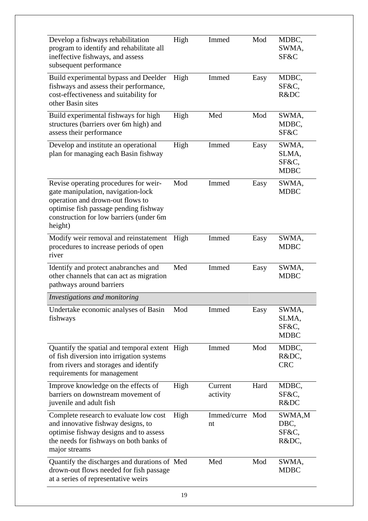| Develop a fishways rehabilitation<br>program to identify and rehabilitate all<br>ineffective fishways, and assess<br>subsequent performance                                                                    | High | Immed                 | Mod  | MDBC,<br>SWMA,<br>SF&C                 |
|----------------------------------------------------------------------------------------------------------------------------------------------------------------------------------------------------------------|------|-----------------------|------|----------------------------------------|
| Build experimental bypass and Deelder<br>fishways and assess their performance,<br>cost-effectiveness and suitability for<br>other Basin sites                                                                 | High | Immed                 | Easy | MDBC,<br>SF&C,<br>R&DC                 |
| Build experimental fishways for high<br>structures (barriers over 6m high) and<br>assess their performance                                                                                                     | High | Med                   | Mod  | SWMA,<br>MDBC,<br>SF&C                 |
| Develop and institute an operational<br>plan for managing each Basin fishway                                                                                                                                   | High | Immed                 | Easy | SWMA,<br>SLMA,<br>SF&C,<br><b>MDBC</b> |
| Revise operating procedures for weir-<br>gate manipulation, navigation-lock<br>operation and drown-out flows to<br>optimise fish passage pending fishway<br>construction for low barriers (under 6m<br>height) | Mod  | Immed                 | Easy | SWMA,<br><b>MDBC</b>                   |
| Modify weir removal and reinstatement<br>procedures to increase periods of open<br>river                                                                                                                       | High | Immed                 | Easy | SWMA,<br><b>MDBC</b>                   |
| Identify and protect anabranches and<br>other channels that can act as migration<br>pathways around barriers                                                                                                   | Med  | Immed                 | Easy | SWMA,<br><b>MDBC</b>                   |
| Investigations and monitoring                                                                                                                                                                                  |      |                       |      |                                        |
| Undertake economic analyses of Basin<br>fishways                                                                                                                                                               | Mod  | Immed                 | Easy | SWMA,<br>SLMA,<br>SF&C,<br><b>MDBC</b> |
| Quantify the spatial and temporal extent High<br>of fish diversion into irrigation systems<br>from rivers and storages and identify<br>requirements for management                                             |      | Immed                 | Mod  | MDBC,<br>R&DC,<br><b>CRC</b>           |
| Improve knowledge on the effects of<br>barriers on downstream movement of<br>juvenile and adult fish                                                                                                           | High | Current<br>activity   | Hard | MDBC,<br>SF&C,<br>R&DC                 |
| Complete research to evaluate low cost<br>and innovative fishway designs, to<br>optimise fishway designs and to assess<br>the needs for fishways on both banks of<br>major streams                             | High | Immed/curre Mod<br>nt |      | SWMA,M<br>DBC,<br>SF&C,<br>R&DC,       |
| Quantify the discharges and durations of Med<br>drown-out flows needed for fish passage<br>at a series of representative weirs                                                                                 |      | Med                   | Mod  | SWMA,<br><b>MDBC</b>                   |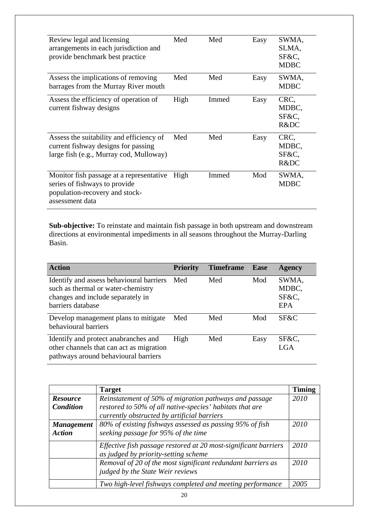| Review legal and licensing<br>arrangements in each jurisdiction and<br>provide benchmark best practice                         | Med  | Med   | Easy | SWMA,<br>SLMA,<br>SF&C.<br><b>MDBC</b> |
|--------------------------------------------------------------------------------------------------------------------------------|------|-------|------|----------------------------------------|
| Assess the implications of removing<br>barrages from the Murray River mouth                                                    | Med  | Med   | Easy | SWMA,<br><b>MDBC</b>                   |
| Assess the efficiency of operation of<br>current fishway designs                                                               | High | Immed | Easy | CRC,<br>MDBC,<br>SF&C.<br>R&DC         |
| Assess the suitability and efficiency of<br>current fishway designs for passing<br>large fish (e.g., Murray cod, Mulloway)     | Med  | Med   | Easy | CRC,<br>MDBC,<br>SF&C,<br>R&DC         |
| Monitor fish passage at a representative<br>series of fishways to provide<br>population-recovery and stock-<br>assessment data | High | Immed | Mod  | SWMA,<br><b>MDBC</b>                   |

**Sub-objective:** To reinstate and maintain fish passage in both upstream and downstream directions at environmental impediments in all seasons throughout the Murray-Darling Basin.

| <b>Action</b>                                                                                                                            | <b>Priority</b> | <b>Timeframe</b> | Ease | <b>Agency</b>                         |
|------------------------------------------------------------------------------------------------------------------------------------------|-----------------|------------------|------|---------------------------------------|
| Identify and assess behavioural barriers<br>such as thermal or water-chemistry<br>changes and include separately in<br>barriers database | Med             | Med              | Mod  | SWMA,<br>MDBC,<br>SF&C,<br><b>EPA</b> |
| Develop management plans to mitigate<br>behavioural barriers                                                                             | Med             | Med              | Mod  | SF&C                                  |
| Identify and protect anabranches and<br>other channels that can act as migration<br>pathways around behavioural barriers                 | High            | Med              | Easy | SF&C,<br><b>LGA</b>                   |

|                   | <b>Target</b>                                                                                           | <b>Timing</b> |
|-------------------|---------------------------------------------------------------------------------------------------------|---------------|
| <b>Resource</b>   | Reinstatement of 50% of migration pathways and passage                                                  | 2010          |
| <b>Condition</b>  | restored to 50% of all native-species' habitats that are                                                |               |
|                   | currently obstructed by artificial barriers                                                             |               |
| <b>Management</b> | 80% of existing fishways assessed as passing 95% of fish                                                | 2010          |
| <b>Action</b>     | seeking passage for 95% of the time                                                                     |               |
|                   | Effective fish passage restored at 20 most-significant barriers<br>as judged by priority-setting scheme | 2010          |
|                   | Removal of 20 of the most significant redundant barriers as                                             | 2010          |
|                   | judged by the State Weir reviews                                                                        |               |
|                   | Two high-level fishways completed and meeting performance                                               | 2005          |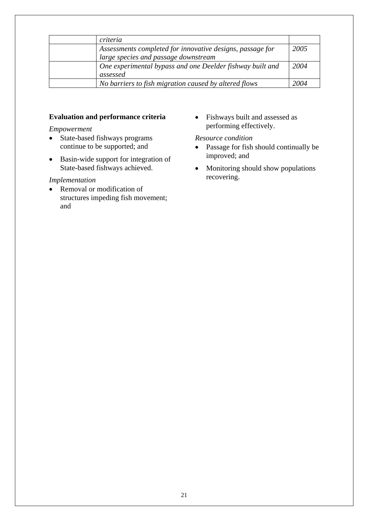| criteria                                                  |      |
|-----------------------------------------------------------|------|
| Assessments completed for innovative designs, passage for | 2005 |
| large species and passage downstream                      |      |
| One experimental bypass and one Deelder fishway built and | 2004 |
| assessed                                                  |      |
| No barriers to fish migration caused by altered flows     | 2004 |

## **Evaluation and performance criteria**

#### *Empowerment*

- State-based fishways programs continue to be supported; and
- Basin-wide support for integration of State-based fishways achieved.

## *Implementation*

• Removal or modification of structures impeding fish movement; and

• Fishways built and assessed as performing effectively.

## *Resource condition*

- Passage for fish should continually be improved; and
- Monitoring should show populations recovering.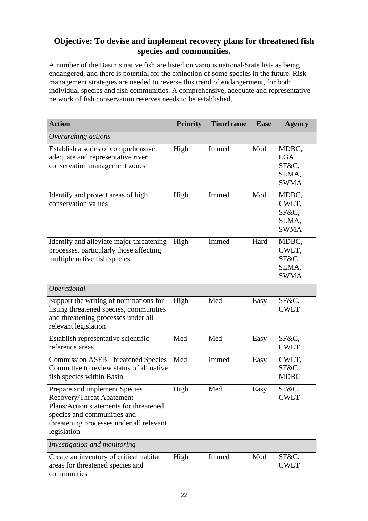# **Objective: To devise and implement recovery plans for threatened fish species and communities.**

A number of the Basin's native fish are listed on various national/State lists as being endangered, and there is potential for the extinction of some species in the future. Riskmanagement strategies are needed to reverse this trend of endangerment, for both individual species and fish communities. A comprehensive, adequate and representative network of fish conservation reserves needs to be established.

| <b>Action</b>                                                                                                                                                                                  | <b>Priority</b> | <b>Timeframe</b> | <b>Ease</b> | <b>Agency</b>                                   |
|------------------------------------------------------------------------------------------------------------------------------------------------------------------------------------------------|-----------------|------------------|-------------|-------------------------------------------------|
| Overarching actions                                                                                                                                                                            |                 |                  |             |                                                 |
| Establish a series of comprehensive,<br>adequate and representative river<br>conservation management zones                                                                                     | High            | Immed            | Mod         | MDBC,<br>LGA,<br>SF&C,<br>SLMA,<br><b>SWMA</b>  |
| Identify and protect areas of high<br>conservation values                                                                                                                                      | High            | Immed            | Mod         | MDBC,<br>CWLT,<br>SF&C.<br>SLMA,<br><b>SWMA</b> |
| Identify and alleviate major threatening<br>processes, particularly those affecting<br>multiple native fish species                                                                            | High            | Immed            | Hard        | MDBC,<br>CWLT,<br>SF&C,<br>SLMA,<br><b>SWMA</b> |
| Operational                                                                                                                                                                                    |                 |                  |             |                                                 |
| Support the writing of nominations for<br>listing threatened species, communities<br>and threatening processes under all<br>relevant legislation                                               | High            | Med              | Easy        | SF&C,<br><b>CWLT</b>                            |
| Establish representative scientific<br>reference areas                                                                                                                                         | Med             | Med              | Easy        | SF&C,<br><b>CWLT</b>                            |
| <b>Commission ASFB Threatened Species</b><br>Committee to review status of all native<br>fish species within Basin                                                                             | Med             | Immed            | Easy        | CWLT,<br>SF&C,<br><b>MDBC</b>                   |
| Prepare and implement Species<br>Recovery/Threat Abatement<br>Plans/Action statements for threatened<br>species and communities and<br>threatening processes under all relevant<br>legislation | High            | Med              | Easy        | SF&C,<br><b>CWLT</b>                            |
| Investigation and monitoring                                                                                                                                                                   |                 |                  |             |                                                 |
| Create an inventory of critical habitat<br>areas for threatened species and<br>communities                                                                                                     | High            | Immed            | Mod         | SF&C,<br><b>CWLT</b>                            |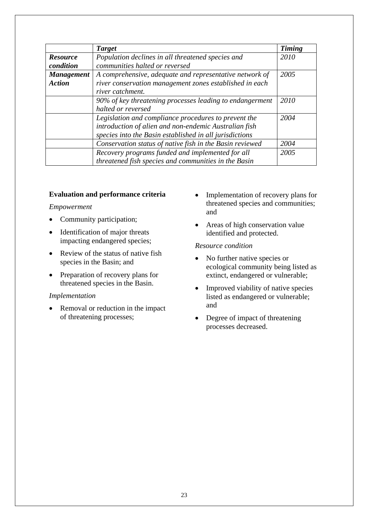|                   | <b>Target</b>                                            | <b>Timing</b> |
|-------------------|----------------------------------------------------------|---------------|
| <b>Resource</b>   | Population declines in all threatened species and        | 2010          |
| condition         | communities halted or reversed                           |               |
| <b>Management</b> | A comprehensive, adequate and representative network of  | 2005          |
| <b>Action</b>     | river conservation management zones established in each  |               |
|                   | river catchment.                                         |               |
|                   | 90% of key threatening processes leading to endangerment | 2010          |
|                   | halted or reversed                                       |               |
|                   | Legislation and compliance procedures to prevent the     | 2004          |
|                   | introduction of alien and non-endemic Australian fish    |               |
|                   | species into the Basin established in all jurisdictions  |               |
|                   | Conservation status of native fish in the Basin reviewed | 2004          |
|                   | Recovery programs funded and implemented for all         | 2005          |
|                   | threatened fish species and communities in the Basin     |               |

## **Evaluation and performance criteria**

#### *Empowerment*

- Community participation;
- Identification of major threats impacting endangered species;
- Review of the status of native fish species in the Basin; and
- Preparation of recovery plans for threatened species in the Basin.

## *Implementation*

• Removal or reduction in the impact of threatening processes;

- Implementation of recovery plans for threatened species and communities; and
- Areas of high conservation value identified and protected.

#### *Resource condition*

- No further native species or ecological community being listed as extinct, endangered or vulnerable;
- Improved viability of native species listed as endangered or vulnerable; and
- Degree of impact of threatening processes decreased.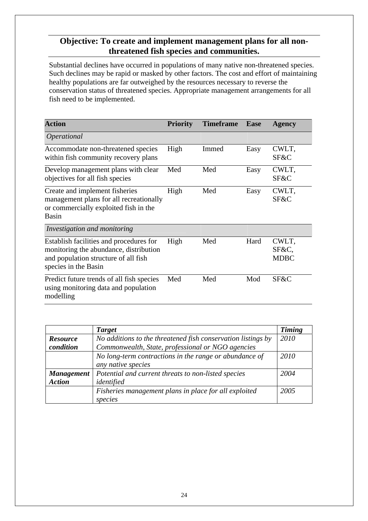# **Objective: To create and implement management plans for all nonthreatened fish species and communities.**

Substantial declines have occurred in populations of many native non-threatened species. Such declines may be rapid or masked by other factors. The cost and effort of maintaining healthy populations are far outweighed by the resources necessary to reverse the conservation status of threatened species. Appropriate management arrangements for all fish need to be implemented.

| <b>Action</b>                                                                                                                                     | <b>Priority</b> | <b>Timeframe</b> | <b>Ease</b> | <b>Agency</b>                 |
|---------------------------------------------------------------------------------------------------------------------------------------------------|-----------------|------------------|-------------|-------------------------------|
| <i><b>Operational</b></i>                                                                                                                         |                 |                  |             |                               |
| Accommodate non-threatened species<br>within fish community recovery plans                                                                        | High            | Immed            | Easy        | CWLT,<br>SF&C                 |
| Develop management plans with clear<br>objectives for all fish species                                                                            | Med             | Med              | Easy        | CWLT,<br>SF&C                 |
| Create and implement fisheries<br>management plans for all recreationally<br>or commercially exploited fish in the<br>Basin                       | High            | Med              | Easy        | CWLT,<br>SF&C                 |
| Investigation and monitoring                                                                                                                      |                 |                  |             |                               |
| Establish facilities and procedures for<br>monitoring the abundance, distribution<br>and population structure of all fish<br>species in the Basin | High            | Med              | Hard        | CWLT,<br>SF&C,<br><b>MDBC</b> |
| Predict future trends of all fish species<br>using monitoring data and population<br>modelling                                                    | Med             | Med              | Mod         | SF&C                          |

|                   | <b>Target</b>                                                | Timing |
|-------------------|--------------------------------------------------------------|--------|
| <b>Resource</b>   | No additions to the threatened fish conservation listings by | 2010   |
| condition         | Commonwealth, State, professional or NGO agencies            |        |
|                   | No long-term contractions in the range or abundance of       | 2010   |
|                   | any native species                                           |        |
| <b>Management</b> | Potential and current threats to non-listed species          | 2004   |
| <b>Action</b>     | identified                                                   |        |
|                   | Fisheries management plans in place for all exploited        | 2005   |
|                   | species                                                      |        |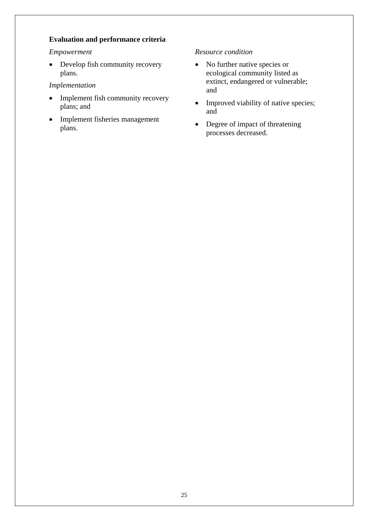## **Evaluation and performance criteria**

## *Empowerment*

• Develop fish community recovery plans.

## *Implementation*

- Implement fish community recovery plans; and
- Implement fisheries management plans.

## *Resource condition*

- No further native species or ecological community listed as extinct, endangered or vulnerable; and
- Improved viability of native species; and
- Degree of impact of threatening processes decreased.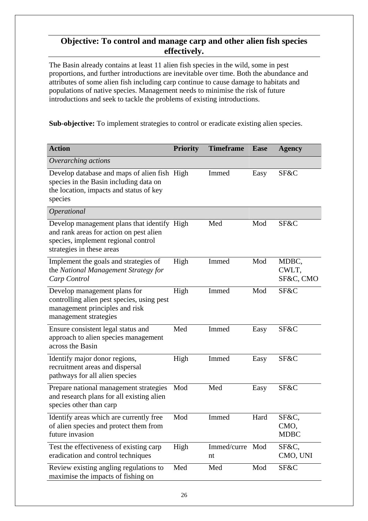## **Objective: To control and manage carp and other alien fish species effectively.**

The Basin already contains at least 11 alien fish species in the wild, some in pest proportions, and further introductions are inevitable over time. Both the abundance and attributes of some alien fish including carp continue to cause damage to habitats and populations of native species. Management needs to minimise the risk of future introductions and seek to tackle the problems of existing introductions.

**Sub-objective:** To implement strategies to control or eradicate existing alien species.

| <b>Action</b>                                                                                                                                              | <b>Priority</b> | <b>Timeframe</b>      | <b>Ease</b> | <b>Agency</b>                |
|------------------------------------------------------------------------------------------------------------------------------------------------------------|-----------------|-----------------------|-------------|------------------------------|
| Overarching actions                                                                                                                                        |                 |                       |             |                              |
| Develop database and maps of alien fish High<br>species in the Basin including data on<br>the location, impacts and status of key<br>species               |                 | Immed                 | Easy        | SF&C                         |
| Operational                                                                                                                                                |                 |                       |             |                              |
| Develop management plans that identify High<br>and rank areas for action on pest alien<br>species, implement regional control<br>strategies in these areas |                 | Med                   | Mod         | SF&C                         |
| Implement the goals and strategies of<br>the National Management Strategy for<br>Carp Control                                                              | High            | Immed                 | Mod         | MDBC,<br>CWLT,<br>SF&C, CMO  |
| Develop management plans for<br>controlling alien pest species, using pest<br>management principles and risk<br>management strategies                      | High            | Immed                 | Mod         | SF&C                         |
| Ensure consistent legal status and<br>approach to alien species management<br>across the Basin                                                             | Med             | Immed                 | Easy        | SF&C                         |
| Identify major donor regions,<br>recruitment areas and dispersal<br>pathways for all alien species                                                         | High            | Immed                 | Easy        | SF&C                         |
| Prepare national management strategies<br>and research plans for all existing alien<br>species other than carp                                             | Mod             | Med                   | Easy        | SF&C                         |
| Identify areas which are currently free<br>of alien species and protect them from<br>future invasion                                                       | Mod             | Immed                 | Hard        | SF&C,<br>CMO,<br><b>MDBC</b> |
| Test the effectiveness of existing carp<br>eradication and control techniques                                                                              | High            | Immed/curre Mod<br>nt |             | SF&C,<br>CMO, UNI            |
| Review existing angling regulations to<br>maximise the impacts of fishing on                                                                               | Med             | Med                   | Mod         | SF&C                         |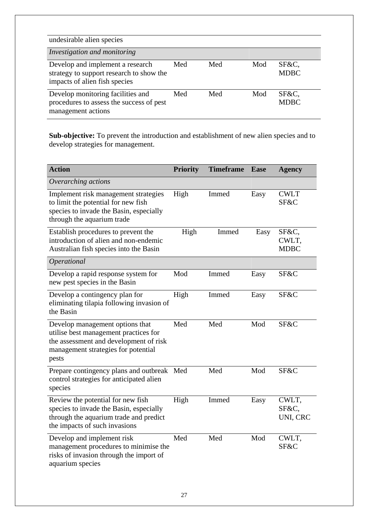| undesirable alien species                                                                                     |     |     |     |                      |  |  |
|---------------------------------------------------------------------------------------------------------------|-----|-----|-----|----------------------|--|--|
| Investigation and monitoring                                                                                  |     |     |     |                      |  |  |
| Develop and implement a research<br>strategy to support research to show the<br>impacts of alien fish species | Med | Med | Mod | SF&C,<br><b>MDBC</b> |  |  |
| Develop monitoring facilities and<br>procedures to assess the success of pest<br>management actions           | Med | Med | Mod | SF&C,<br><b>MDBC</b> |  |  |

Sub-objective: To prevent the introduction and establishment of new alien species and to develop strategies for management.

| <b>Action</b>                                                                                                                                                      | <b>Priority</b> | <b>Timeframe</b> | <b>Ease</b> | <b>Agency</b>                 |
|--------------------------------------------------------------------------------------------------------------------------------------------------------------------|-----------------|------------------|-------------|-------------------------------|
| Overarching actions                                                                                                                                                |                 |                  |             |                               |
| Implement risk management strategies<br>to limit the potential for new fish<br>species to invade the Basin, especially<br>through the aquarium trade               | High            | Immed            | Easy        | <b>CWLT</b><br>SF&C           |
| Establish procedures to prevent the<br>introduction of alien and non-endemic<br>Australian fish species into the Basin                                             | High            | Immed            | Easy        | SF&C,<br>CWLT,<br><b>MDBC</b> |
| Operational                                                                                                                                                        |                 |                  |             |                               |
| Develop a rapid response system for<br>new pest species in the Basin                                                                                               | Mod             | Immed            | Easy        | SF&C                          |
| Develop a contingency plan for<br>eliminating tilapia following invasion of<br>the Basin                                                                           | High            | Immed            | Easy        | SF&C                          |
| Develop management options that<br>utilise best management practices for<br>the assessment and development of risk<br>management strategies for potential<br>pests | Med             | Med              | Mod         | SF&C                          |
| Prepare contingency plans and outbreak<br>control strategies for anticipated alien<br>species                                                                      | Med             | Med              | Mod         | SF&C                          |
| Review the potential for new fish<br>species to invade the Basin, especially<br>through the aquarium trade and predict<br>the impacts of such invasions            | High            | Immed            | Easy        | CWLT,<br>SF&C.<br>UNI, CRC    |
| Develop and implement risk<br>management procedures to minimise the<br>risks of invasion through the import of<br>aquarium species                                 | Med             | Med              | Mod         | CWLT,<br>SF&C                 |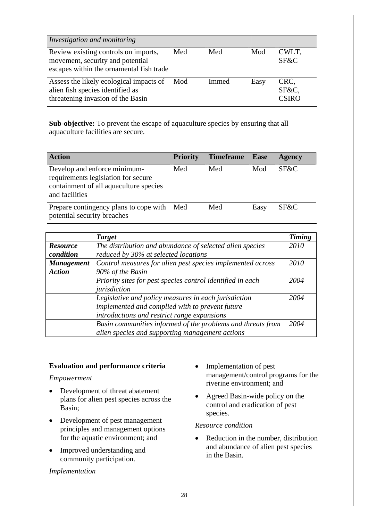| Investigation and monitoring                                                                                         |     |       |      |                        |
|----------------------------------------------------------------------------------------------------------------------|-----|-------|------|------------------------|
| Review existing controls on imports,<br>movement, security and potential<br>escapes within the ornamental fish trade | Med | Med   | Mod  | CWLT,<br>SF&C          |
| Assess the likely ecological impacts of<br>alien fish species identified as<br>threatening invasion of the Basin     | Mod | Immed | Easy | CRC,<br>SF&C,<br>CSIRO |

**Sub-objective:** To prevent the escape of aquaculture species by ensuring that all aquaculture facilities are secure.

| <b>Action</b>                                                                                                                   | <b>Priority</b> | <b>Timeframe</b> Ease |      | <b>Agency</b> |
|---------------------------------------------------------------------------------------------------------------------------------|-----------------|-----------------------|------|---------------|
| Develop and enforce minimum-<br>requirements legislation for secure<br>containment of all aquaculture species<br>and facilities | Med             | Med                   | Mod  | SF&C          |
| Prepare contingency plans to cope with Med<br>potential security breaches                                                       |                 | Med                   | Easy | SF&C          |

|                   | <b>Target</b>                                               | <b>Timing</b> |
|-------------------|-------------------------------------------------------------|---------------|
| <b>Resource</b>   | The distribution and abundance of selected alien species    | 2010          |
| condition         | reduced by 30% at selected locations                        |               |
| <b>Management</b> | Control measures for alien pest species implemented across  | 2010          |
| <b>Action</b>     | 90% of the Basin                                            |               |
|                   | Priority sites for pest species control identified in each  | 2004          |
|                   | jurisdiction                                                |               |
|                   | Legislative and policy measures in each jurisdiction        | 2004          |
|                   | implemented and complied with to prevent future             |               |
|                   | introductions and restrict range expansions                 |               |
|                   | Basin communities informed of the problems and threats from | 2004          |
|                   | alien species and supporting management actions             |               |

## **Evaluation and performance criteria**

*Empowerment* 

- Development of threat abatement plans for alien pest species across the Basin;
- Development of pest management principles and management options for the aquatic environment; and
- Improved understanding and community participation.

## *Implementation*

- Implementation of pest management/control programs for the riverine environment; and
- Agreed Basin-wide policy on the control and eradication of pest species.

## *Resource condition*

• Reduction in the number, distribution and abundance of alien pest species in the Basin.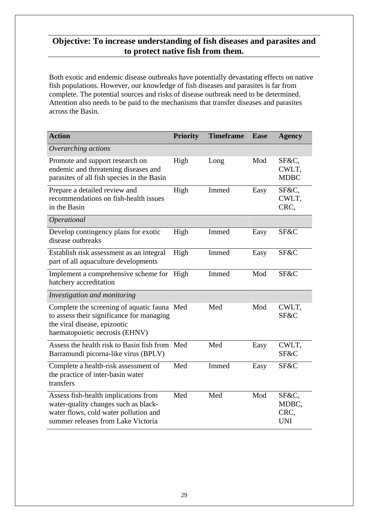# **Objective: To increase understanding of fish diseases and parasites and to protect native fish from them.**

Both exotic and endemic disease outbreaks have potentially devastating effects on native fish populations. However, our knowledge of fish diseases and parasites is far from complete. The potential sources and risks of disease outbreak need to be determined. Attention also needs to be paid to the mechanisms that transfer diseases and parasites across the Basin.

| <b>Action</b>                                                                                                                                               | <b>Priority</b> | <b>Timeframe</b> | <b>Ease</b> | <b>Agency</b>                        |
|-------------------------------------------------------------------------------------------------------------------------------------------------------------|-----------------|------------------|-------------|--------------------------------------|
| Overarching actions                                                                                                                                         |                 |                  |             |                                      |
| Promote and support research on<br>endemic and threatening diseases and<br>parasites of all fish species in the Basin                                       | High            | Long             | Mod         | SF&C,<br>CWLT,<br><b>MDBC</b>        |
| Prepare a detailed review and<br>recommendations on fish-health issues<br>in the Basin                                                                      | High            | Immed            | Easy        | SF&C,<br>CWLT,<br>CRC,               |
| Operational                                                                                                                                                 |                 |                  |             |                                      |
| Develop contingency plans for exotic<br>disease outbreaks                                                                                                   | High            | Immed            | Easy        | SF&C                                 |
| Establish risk assessment as an integral<br>part of all aquaculture developments                                                                            | High            | Immed            | Easy        | SF&C                                 |
| Implement a comprehensive scheme for<br>hatchery accreditation                                                                                              | High            | Immed            | Mod         | SF&C                                 |
| Investigation and monitoring                                                                                                                                |                 |                  |             |                                      |
| Complete the screening of aquatic fauna Med<br>to assess their significance for managing<br>the viral disease, epizootic<br>haematopoietic necrosis (EHNV)  |                 | Med              | Mod         | CWLT,<br>SF&C                        |
| Assess the health risk to Basin fish from Med<br>Barramundi picorna-like virus (BPLV)                                                                       |                 | Med              | Easy        | CWLT,<br>SF&C                        |
| Complete a health-risk assessment of<br>the practice of inter-basin water<br>transfers                                                                      | Med             | Immed            | Easy        | SF&C                                 |
| Assess fish-health implications from<br>water-quality changes such as black-<br>water flows, cold water pollution and<br>summer releases from Lake Victoria | Med             | Med              | Mod         | SF&C,<br>MDBC,<br>CRC,<br><b>UNI</b> |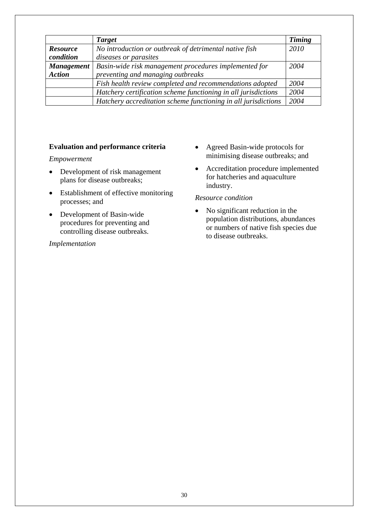|                   | <b>Target</b>                                                  | <b>Timing</b> |
|-------------------|----------------------------------------------------------------|---------------|
| <b>Resource</b>   | No introduction or outbreak of detrimental native fish         | 2010          |
| condition         | diseases or parasites                                          |               |
| <b>Management</b> | Basin-wide risk management procedures implemented for          | 2004          |
| <b>Action</b>     | preventing and managing outbreaks                              |               |
|                   | Fish health review completed and recommendations adopted       | 2004          |
|                   | Hatchery certification scheme functioning in all jurisdictions | 2004          |
|                   | Hatchery accreditation scheme functioning in all jurisdictions | 2004          |

## **Evaluation and performance criteria**

## *Empowerment*

- Development of risk management plans for disease outbreaks;
- Establishment of effective monitoring processes; and
- Development of Basin-wide procedures for preventing and controlling disease outbreaks.

## *Implementation*

- Agreed Basin-wide protocols for minimising disease outbreaks; and
- Accreditation procedure implemented for hatcheries and aquaculture industry.

## *Resource condition*

• No significant reduction in the population distributions, abundances or numbers of native fish species due to disease outbreaks.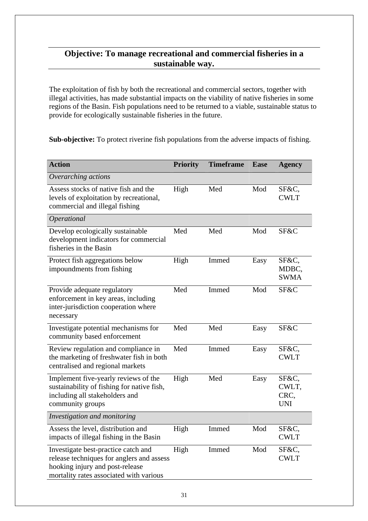# **Objective: To manage recreational and commercial fisheries in a sustainable way.**

The exploitation of fish by both the recreational and commercial sectors, together with illegal activities, has made substantial impacts on the viability of native fisheries in some regions of the Basin. Fish populations need to be returned to a viable, sustainable status to provide for ecologically sustainable fisheries in the future.

**Sub-objective:** To protect riverine fish populations from the adverse impacts of fishing.

| <b>Action</b>                                                                                                                                                  | <b>Priority</b> | <b>Timeframe</b> | <b>Ease</b> | <b>Agency</b>                        |
|----------------------------------------------------------------------------------------------------------------------------------------------------------------|-----------------|------------------|-------------|--------------------------------------|
| Overarching actions                                                                                                                                            |                 |                  |             |                                      |
| Assess stocks of native fish and the<br>levels of exploitation by recreational,<br>commercial and illegal fishing                                              | High            | Med              | Mod         | SF&C,<br><b>CWLT</b>                 |
| Operational                                                                                                                                                    |                 |                  |             |                                      |
| Develop ecologically sustainable<br>development indicators for commercial<br>fisheries in the Basin                                                            | Med             | Med              | Mod         | SF&C                                 |
| Protect fish aggregations below<br>impoundments from fishing                                                                                                   | High            | Immed            | Easy        | SF&C,<br>MDBC,<br><b>SWMA</b>        |
| Provide adequate regulatory<br>enforcement in key areas, including<br>inter-jurisdiction cooperation where<br>necessary                                        | Med             | Immed            | Mod         | SF&C                                 |
| Investigate potential mechanisms for<br>community based enforcement                                                                                            | Med             | Med              | Easy        | SF&C                                 |
| Review regulation and compliance in<br>the marketing of freshwater fish in both<br>centralised and regional markets                                            | Med             | Immed            | Easy        | SF&C,<br><b>CWLT</b>                 |
| Implement five-yearly reviews of the<br>sustainability of fishing for native fish,<br>including all stakeholders and<br>community groups                       | High            | Med              | Easy        | SF&C,<br>CWLT,<br>CRC,<br><b>UNI</b> |
| Investigation and monitoring                                                                                                                                   |                 |                  |             |                                      |
| Assess the level, distribution and<br>impacts of illegal fishing in the Basin                                                                                  | High            | Immed            | Mod         | SF&C,<br><b>CWLT</b>                 |
| Investigate best-practice catch and<br>release techniques for anglers and assess<br>hooking injury and post-release<br>mortality rates associated with various | High            | Immed            | Mod         | SF&C,<br><b>CWLT</b>                 |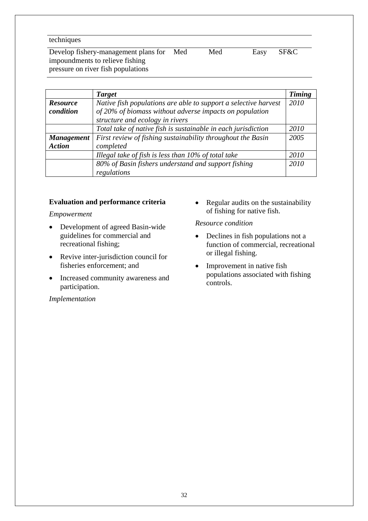techniques

Develop fishery-management plans for impoundments to relieve fishing pressure on river fish populations Med Med Easy SF&C

|                   | <b>Target</b>                                                   | <b>Timing</b> |
|-------------------|-----------------------------------------------------------------|---------------|
| <b>Resource</b>   | Native fish populations are able to support a selective harvest | 2010          |
| condition         | of 20% of biomass without adverse impacts on population         |               |
|                   | structure and ecology in rivers                                 |               |
|                   | Total take of native fish is sustainable in each jurisdiction   | 2010          |
| <b>Management</b> | First review of fishing sustainability throughout the Basin     | 2005          |
| <b>Action</b>     | completed                                                       |               |
|                   | Illegal take of fish is less than 10% of total take             | 2010          |
|                   | 80% of Basin fishers understand and support fishing             | 2010          |
|                   | regulations                                                     |               |

## **Evaluation and performance criteria**

## *Empowerment*

- Development of agreed Basin-wide guidelines for commercial and recreational fishing;
- Revive inter-jurisdiction council for fisheries enforcement; and
- Increased community awareness and participation.

## *Implementation*

• Regular audits on the sustainability of fishing for native fish.

## *Resource condition*

- Declines in fish populations not a function of commercial, recreational or illegal fishing.
- Improvement in native fish populations associated with fishing controls.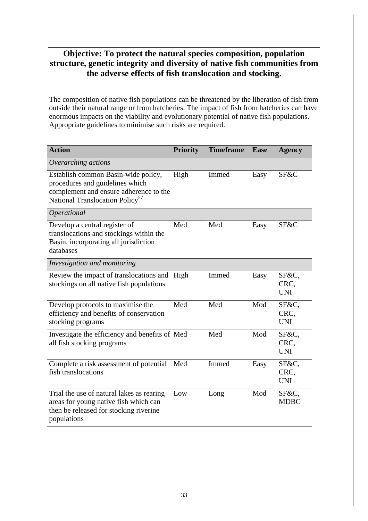## **Objective: To protect the natural species composition, population structure, genetic integrity and diversity of native fish communities from the adverse effects of fish translocation and stocking.**

The composition of native fish populations can be threatened by the liberation of fish from outside their natural range or from hatcheries. The impact of fish from hatcheries can have enormous impacts on the viability and evolutionary potential of native fish populations. Appropriate guidelines to minimise such risks are required.

| <b>Action</b>                                                                                                                                                   | <b>Priority</b> | <b>Timeframe</b> | <b>Ease</b> | <b>Agency</b>               |
|-----------------------------------------------------------------------------------------------------------------------------------------------------------------|-----------------|------------------|-------------|-----------------------------|
| Overarching actions                                                                                                                                             |                 |                  |             |                             |
| Establish common Basin-wide policy,<br>procedures and guidelines which<br>complement and ensure adherence to the<br>National Translocation Policy <sup>57</sup> | High            | Immed            | Easy        | SF&C                        |
| Operational                                                                                                                                                     |                 |                  |             |                             |
| Develop a central register of<br>translocations and stockings within the<br>Basin, incorporating all jurisdiction<br>databases                                  | Med             | Med              | Easy        | SF&C                        |
| Investigation and monitoring                                                                                                                                    |                 |                  |             |                             |
| Review the impact of translocations and High<br>stockings on all native fish populations                                                                        |                 | Immed            | Easy        | SF&C,<br>CRC,<br><b>UNI</b> |
| Develop protocols to maximise the<br>efficiency and benefits of conservation<br>stocking programs                                                               | Med             | Med              | Mod         | SF&C,<br>CRC,<br><b>UNI</b> |
| Investigate the efficiency and benefits of Med<br>all fish stocking programs                                                                                    |                 | Med              | Mod         | SF&C,<br>CRC,<br><b>UNI</b> |
| Complete a risk assessment of potential<br>fish translocations                                                                                                  | Med             | Immed            | Easy        | SF&C,<br>CRC,<br><b>UNI</b> |
| Trial the use of natural lakes as rearing<br>areas for young native fish which can<br>then be released for stocking riverine<br>populations                     | Low             | Long             | Mod         | SF&C,<br><b>MDBC</b>        |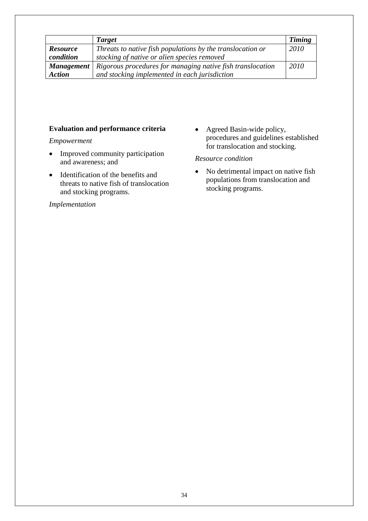|                   | <b>Target</b>                                              | <b>Timing</b> |
|-------------------|------------------------------------------------------------|---------------|
| <b>Resource</b>   | Threats to native fish populations by the translocation or | 2010          |
| condition         | stocking of native or alien species removed                |               |
| <b>Management</b> | Rigorous procedures for managing native fish translocation | 2010          |
| <b>Action</b>     | and stocking implemented in each jurisdiction              |               |

## **Evaluation and performance criteria**

*Empowerment* 

- Improved community participation and awareness; and
- Identification of the benefits and threats to native fish of translocation and stocking programs.

## *Implementation*

• Agreed Basin-wide policy, procedures and guidelines established for translocation and stocking.

## *Resource condition*

• No detrimental impact on native fish populations from translocation and stocking programs.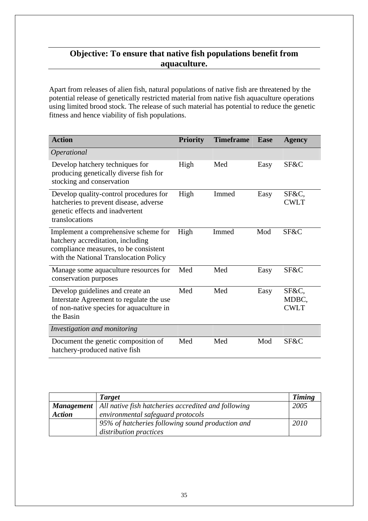# **Objective: To ensure that native fish populations benefit from aquaculture.**

Apart from releases of alien fish, natural populations of native fish are threatened by the potential release of genetically restricted material from native fish aquaculture operations using limited brood stock. The release of such material has potential to reduce the genetic fitness and hence viability of fish populations.

| <b>Action</b>                                                                                                                                                | <b>Priority</b> | <b>Timeframe</b> | <b>Ease</b> | <b>Agency</b>                 |
|--------------------------------------------------------------------------------------------------------------------------------------------------------------|-----------------|------------------|-------------|-------------------------------|
| Operational                                                                                                                                                  |                 |                  |             |                               |
| Develop hatchery techniques for<br>producing genetically diverse fish for<br>stocking and conservation                                                       | High            | Med              | Easy        | SF&C                          |
| Develop quality-control procedures for<br>hatcheries to prevent disease, adverse<br>genetic effects and inadvertent<br>translocations                        | High            | Immed            | Easy        | SF&C,<br><b>CWLT</b>          |
| Implement a comprehensive scheme for<br>hatchery accreditation, including<br>compliance measures, to be consistent<br>with the National Translocation Policy | High            | Immed            | Mod         | SF&C                          |
| Manage some aquaculture resources for<br>conservation purposes                                                                                               | Med             | Med              | Easy        | SF&C                          |
| Develop guidelines and create an<br>Interstate Agreement to regulate the use<br>of non-native species for aquaculture in<br>the Basin                        | Med             | Med              | Easy        | SF&C,<br>MDBC,<br><b>CWLT</b> |
| Investigation and monitoring                                                                                                                                 |                 |                  |             |                               |
| Document the genetic composition of<br>hatchery-produced native fish                                                                                         | Med             | Med              | Mod         | SF&C                          |

|               | <b>Target</b>                                                           | <b>Timing</b> |
|---------------|-------------------------------------------------------------------------|---------------|
|               | <b>Management</b>   All native fish hatcheries accredited and following | 2005          |
| <b>Action</b> | environmental safeguard protocols                                       |               |
|               | 95% of hatcheries following sound production and                        | 2010          |
|               | distribution practices                                                  |               |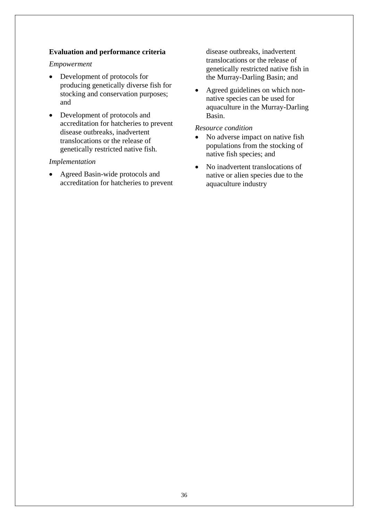## **Evaluation and performance criteria**

## *Empowerment*

- Development of protocols for producing genetically diverse fish for stocking and conservation purposes; and
- Development of protocols and accreditation for hatcheries to prevent disease outbreaks, inadvertent translocations or the release of genetically restricted native fish.

## *Implementation*

• Agreed Basin-wide protocols and accreditation for hatcheries to prevent disease outbreaks, inadvertent translocations or the release of genetically restricted native fish in the Murray-Darling Basin; and

• Agreed guidelines on which nonnative species can be used for aquaculture in the Murray-Darling Basin.

## *Resource condition*

- No adverse impact on native fish populations from the stocking of native fish species; and
- No inadvertent translocations of native or alien species due to the aquaculture industry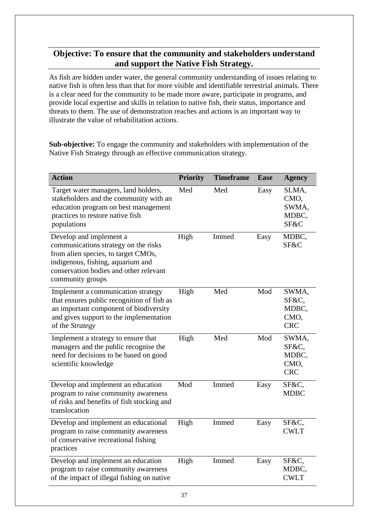# **Objective: To ensure that the community and stakeholders understand and support the Native Fish Strategy.**

As fish are hidden under water, the general community understanding of issues relating to native fish is often less than that for more visible and identifiable terrestrial animals. There is a clear need for the community to be made more aware, participate in programs, and provide local expertise and skills in relation to native fish, their status, importance and threats to them. The use of demonstration reaches and actions is an important way to illustrate the value of rehabilitation actions.

**Sub-objective:** To engage the community and stakeholders with implementation of the Native Fish Strategy through an effective communication strategy.

| <b>Action</b>                                                                                                                                                                                             | <b>Priority</b> | <b>Timeframe</b> | <b>Ease</b> | <b>Agency</b>                                 |
|-----------------------------------------------------------------------------------------------------------------------------------------------------------------------------------------------------------|-----------------|------------------|-------------|-----------------------------------------------|
| Target water managers, land holders,<br>stakeholders and the community with an<br>education program on best management<br>practices to restore native fish<br>populations                                 | Med             | Med              | Easy        | SLMA,<br>CMO,<br>SWMA,<br>MDBC,<br>SF&C       |
| Develop and implement a<br>communications strategy on the risks<br>from alien species, to target CMOs,<br>indigenous, fishing, aquarium and<br>conservation bodies and other relevant<br>community groups | High            | Immed            | Easy        | MDBC,<br>SF&C                                 |
| Implement a communication strategy<br>that ensures public recognition of fish as<br>an important component of biodiversity<br>and gives support to the implementation<br>of the Strategy                  | High            | Med              | Mod         | SWMA,<br>SF&C,<br>MDBC,<br>CMO,<br><b>CRC</b> |
| Implement a strategy to ensure that<br>managers and the public recognise the<br>need for decisions to be based on good<br>scientific knowledge                                                            | High            | Med              | Mod         | SWMA,<br>SF&C,<br>MDBC,<br>CMO,<br><b>CRC</b> |
| Develop and implement an education<br>program to raise community awareness<br>of risks and benefits of fish stocking and<br>translocation                                                                 | Mod             | Immed            | Easy        | SF&C,<br><b>MDBC</b>                          |
| Develop and implement an educational<br>program to raise community awareness<br>of conservative recreational fishing<br>practices                                                                         | High            | Immed            | Easy        | SF&C,<br><b>CWLT</b>                          |
| Develop and implement an education<br>program to raise community awareness<br>of the impact of illegal fishing on native                                                                                  | High            | Immed            | Easy        | SF&C,<br>MDBC,<br><b>CWLT</b>                 |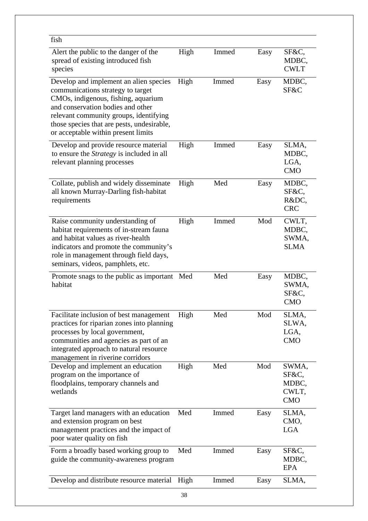| fish                                                                                                                                                                                                                                                                                   |      |       |      |                                                |
|----------------------------------------------------------------------------------------------------------------------------------------------------------------------------------------------------------------------------------------------------------------------------------------|------|-------|------|------------------------------------------------|
| Alert the public to the danger of the<br>spread of existing introduced fish<br>species                                                                                                                                                                                                 | High | Immed | Easy | SF&C,<br>MDBC,<br><b>CWLT</b>                  |
| Develop and implement an alien species<br>communications strategy to target<br>CMOs, indigenous, fishing, aquarium<br>and conservation bodies and other<br>relevant community groups, identifying<br>those species that are pests, undesirable,<br>or acceptable within present limits | High | Immed | Easy | MDBC,<br>SF&C                                  |
| Develop and provide resource material<br>to ensure the Strategy is included in all<br>relevant planning processes                                                                                                                                                                      | High | Immed | Easy | SLMA,<br>MDBC,<br>LGA,<br><b>CMO</b>           |
| Collate, publish and widely disseminate<br>all known Murray-Darling fish-habitat<br>requirements                                                                                                                                                                                       | High | Med   | Easy | MDBC,<br>SF&C,<br>R&DC,<br><b>CRC</b>          |
| Raise community understanding of<br>habitat requirements of in-stream fauna<br>and habitat values as river-health<br>indicators and promote the community's<br>role in management through field days,<br>seminars, videos, pamphlets, etc.                                             | High | Immed | Mod  | CWLT,<br>MDBC,<br>SWMA,<br><b>SLMA</b>         |
| Promote snags to the public as important<br>habitat                                                                                                                                                                                                                                    | Med  | Med   | Easy | MDBC,<br>SWMA,<br>SF&C,<br><b>CMO</b>          |
| Facilitate inclusion of best management<br>practices for riparian zones into planning<br>processes by local government,<br>communities and agencies as part of an<br>integrated approach to natural resource<br>management in riverine corridors                                       | High | Med   | Mod  | SLMA,<br>SLWA,<br>LGA,<br><b>CMO</b>           |
| Develop and implement an education<br>program on the importance of<br>floodplains, temporary channels and<br>wetlands                                                                                                                                                                  | High | Med   | Mod  | SWMA,<br>SF&C,<br>MDBC,<br>CWLT,<br><b>CMO</b> |
| Target land managers with an education<br>and extension program on best<br>management practices and the impact of<br>poor water quality on fish                                                                                                                                        | Med  | Immed | Easy | SLMA,<br>CMO,<br><b>LGA</b>                    |
| Form a broadly based working group to<br>guide the community-awareness program                                                                                                                                                                                                         | Med  | Immed | Easy | SF&C,<br>MDBC,<br>EPA                          |
| Develop and distribute resource material                                                                                                                                                                                                                                               | High | Immed | Easy | SLMA,                                          |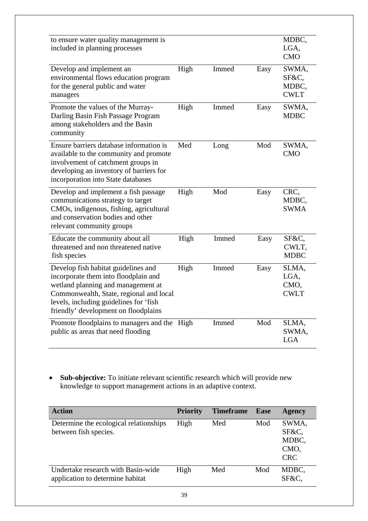| to ensure water quality management is<br>included in planning processes                                                                                                                                                                        |      |       |      | MDBC,<br>LGA,<br><b>CMO</b>            |
|------------------------------------------------------------------------------------------------------------------------------------------------------------------------------------------------------------------------------------------------|------|-------|------|----------------------------------------|
| Develop and implement an<br>environmental flows education program<br>for the general public and water<br>managers                                                                                                                              | High | Immed | Easy | SWMA,<br>SF&C,<br>MDBC,<br><b>CWLT</b> |
| Promote the values of the Murray-<br>Darling Basin Fish Passage Program<br>among stakeholders and the Basin<br>community                                                                                                                       | High | Immed | Easy | SWMA,<br><b>MDBC</b>                   |
| Ensure barriers database information is<br>available to the community and promote<br>involvement of catchment groups in<br>developing an inventory of barriers for<br>incorporation into State databases                                       | Med  | Long  | Mod  | SWMA,<br><b>CMO</b>                    |
| Develop and implement a fish passage<br>communications strategy to target<br>CMOs, indigenous, fishing, agricultural<br>and conservation bodies and other<br>relevant community groups                                                         | High | Mod   | Easy | CRC,<br>MDBC,<br><b>SWMA</b>           |
| Educate the community about all<br>threatened and non threatened native<br>fish species                                                                                                                                                        | High | Immed | Easy | SF&C,<br>CWLT,<br><b>MDBC</b>          |
| Develop fish habitat guidelines and<br>incorporate them into floodplain and<br>wetland planning and management at<br>Commonwealth, State, regional and local<br>levels, including guidelines for 'fish<br>friendly' development on floodplains | High | Immed | Easy | SLMA,<br>LGA,<br>CMO,<br><b>CWLT</b>   |
| Promote floodplains to managers and the High<br>public as areas that need flooding                                                                                                                                                             |      | Immed | Mod  | SLMA,<br>SWMA,<br><b>LGA</b>           |

• **Sub-objective:** To initiate relevant scientific research which will provide new knowledge to support management actions in an adaptive context.

| <b>Action</b>                                                          | <b>Priority</b> | <b>Timeframe</b> | <b>Ease</b> | <b>Agency</b>                                 |
|------------------------------------------------------------------------|-----------------|------------------|-------------|-----------------------------------------------|
| Determine the ecological relationships<br>between fish species.        | High            | Med              | Mod         | SWMA,<br>SF&C,<br>MDBC,<br>CMO,<br><b>CRC</b> |
| Undertake research with Basin-wide<br>application to determine habitat | High            | Med              | Mod         | MDBC,<br>SF&C,                                |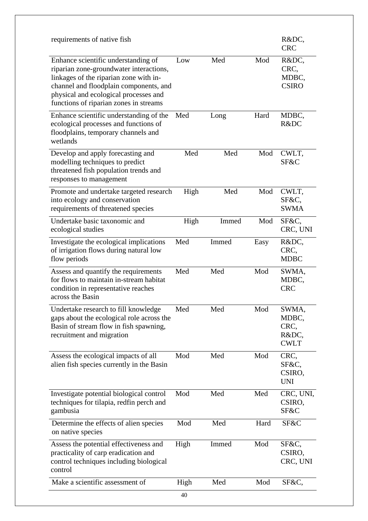| requirements of native fish                                                                                                                                                                                                                           |      |       |      | R&DC,<br><b>CRC</b>                            |
|-------------------------------------------------------------------------------------------------------------------------------------------------------------------------------------------------------------------------------------------------------|------|-------|------|------------------------------------------------|
| Enhance scientific understanding of<br>riparian zone-groundwater interactions,<br>linkages of the riparian zone with in-<br>channel and floodplain components, and<br>physical and ecological processes and<br>functions of riparian zones in streams | Low  | Med   | Mod  | R&DC,<br>CRC,<br>MDBC,<br><b>CSIRO</b>         |
| Enhance scientific understanding of the<br>ecological processes and functions of<br>floodplains, temporary channels and<br>wetlands                                                                                                                   | Med  | Long  | Hard | MDBC,<br>R&DC                                  |
| Develop and apply forecasting and<br>modelling techniques to predict<br>threatened fish population trends and<br>responses to management                                                                                                              | Med  | Med   | Mod  | CWLT,<br>SF&C                                  |
| Promote and undertake targeted research<br>into ecology and conservation<br>requirements of threatened species                                                                                                                                        | High | Med   | Mod  | CWLT,<br>SF&C,<br><b>SWMA</b>                  |
| Undertake basic taxonomic and<br>ecological studies                                                                                                                                                                                                   | High | Immed | Mod  | SF&C,<br>CRC, UNI                              |
| Investigate the ecological implications<br>of irrigation flows during natural low<br>flow periods                                                                                                                                                     | Med  | Immed | Easy | R&DC,<br>CRC,<br><b>MDBC</b>                   |
| Assess and quantify the requirements<br>for flows to maintain in-stream habitat<br>condition in representative reaches<br>across the Basin                                                                                                            | Med  | Med   | Mod  | SWMA,<br>MDBC,<br><b>CRC</b>                   |
| Undertake research to fill knowledge<br>gaps about the ecological role across the<br>Basin of stream flow in fish spawning,<br>recruitment and migration                                                                                              | Med  | Med   | Mod  | SWMA,<br>MDBC,<br>CRC,<br>R&DC,<br><b>CWLT</b> |
| Assess the ecological impacts of all<br>alien fish species currently in the Basin                                                                                                                                                                     | Mod  | Med   | Mod  | CRC,<br>SF&C,<br>CSIRO,<br><b>UNI</b>          |
| Investigate potential biological control<br>techniques for tilapia, redfin perch and<br>gambusia                                                                                                                                                      | Mod  | Med   | Med  | CRC, UNI,<br>CSIRO,<br>SF&C                    |
| Determine the effects of alien species<br>on native species                                                                                                                                                                                           | Mod  | Med   | Hard | SF&C                                           |
| Assess the potential effectiveness and<br>practicality of carp eradication and<br>control techniques including biological<br>control                                                                                                                  | High | Immed | Mod  | SF&C,<br>CSIRO,<br>CRC, UNI                    |
| Make a scientific assessment of                                                                                                                                                                                                                       | High | Med   | Mod  | SF&C,                                          |
|                                                                                                                                                                                                                                                       | 40   |       |      |                                                |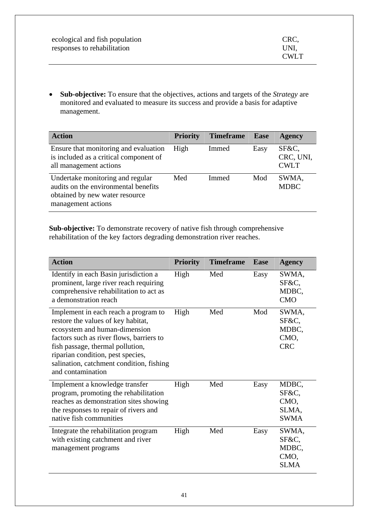| ecological and fish population | CRC.        |
|--------------------------------|-------------|
| responses to rehabilitation    | UNI.        |
|                                | <b>CWLT</b> |

• **Sub-objective:** To ensure that the objectives, actions and targets of the *Strategy* are monitored and evaluated to measure its success and provide a basis for adaptive management.

| <b>Action</b>                                                                                                                    | <b>Priority</b> | <b>Timeframe</b> | <b>Ease</b> | <b>Agency</b>                     |
|----------------------------------------------------------------------------------------------------------------------------------|-----------------|------------------|-------------|-----------------------------------|
| Ensure that monitoring and evaluation<br>is included as a critical component of<br>all management actions                        | High            | Immed            | Easy        | SF&C,<br>CRC, UNI,<br><b>CWLT</b> |
| Undertake monitoring and regular<br>audits on the environmental benefits<br>obtained by new water resource<br>management actions | Med             | Immed            | Mod         | SWMA,<br><b>MDBC</b>              |

**Sub-objective:** To demonstrate recovery of native fish through comprehensive rehabilitation of the key factors degrading demonstration river reaches.

| <b>Action</b>                                                                                                                                                                                                                                                                                     | <b>Priority</b> | <b>Timeframe</b> | <b>Ease</b> | <b>Agency</b>                                  |
|---------------------------------------------------------------------------------------------------------------------------------------------------------------------------------------------------------------------------------------------------------------------------------------------------|-----------------|------------------|-------------|------------------------------------------------|
| Identify in each Basin jurisdiction a<br>prominent, large river reach requiring<br>comprehensive rehabilitation to act as<br>a demonstration reach                                                                                                                                                | High            | Med              | Easy        | SWMA,<br>SF&C,<br>MDBC,<br><b>CMO</b>          |
| Implement in each reach a program to<br>restore the values of key habitat,<br>ecosystem and human-dimension<br>factors such as river flows, barriers to<br>fish passage, thermal pollution,<br>riparian condition, pest species,<br>salination, catchment condition, fishing<br>and contamination | High            | Med              | Mod         | SWMA,<br>SF&C,<br>MDBC,<br>CMO,<br><b>CRC</b>  |
| Implement a knowledge transfer<br>program, promoting the rehabilitation<br>reaches as demonstration sites showing<br>the responses to repair of rivers and<br>native fish communities                                                                                                             | High            | Med              | Easy        | MDBC,<br>SF&C,<br>CMO,<br>SLMA,<br><b>SWMA</b> |
| Integrate the rehabilitation program<br>with existing catchment and river<br>management programs                                                                                                                                                                                                  | High            | Med              | Easy        | SWMA,<br>SF&C,<br>MDBC,<br>CMO,<br><b>SLMA</b> |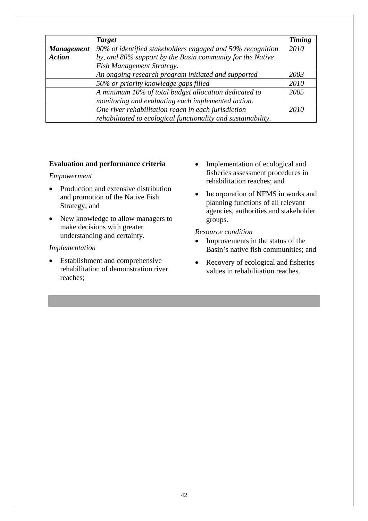|                   | <b>Target</b>                                                 | <b>Timing</b> |
|-------------------|---------------------------------------------------------------|---------------|
| <b>Management</b> | 90% of identified stakeholders engaged and 50% recognition    | 2010          |
| <b>Action</b>     | by, and 80% support by the Basin community for the Native     |               |
|                   | Fish Management Strategy.                                     |               |
|                   | An ongoing research program initiated and supported           | 2003          |
|                   | 50% or priority knowledge gaps filled                         | 2010          |
|                   | A minimum 10% of total budget allocation dedicated to         | 2005          |
|                   | monitoring and evaluating each implemented action.            |               |
|                   | One river rehabilitation reach in each jurisdiction           | 2010          |
|                   | rehabilitated to ecological functionality and sustainability. |               |

## **Evaluation and performance criteria**

## *Empowerment*

- Production and extensive distribution and promotion of the Native Fish Strategy; and
- New knowledge to allow managers to make decisions with greater understanding and certainty.

## *Implementation*

• Establishment and comprehensive rehabilitation of demonstration river reaches;

- Implementation of ecological and fisheries assessment procedures in rehabilitation reaches; and
- Incorporation of NFMS in works and planning functions of all relevant agencies, authorities and stakeholder groups.

## *Resource condition*

- Improvements in the status of the Basin's native fish communities; and
- Recovery of ecological and fisheries values in rehabilitation reaches.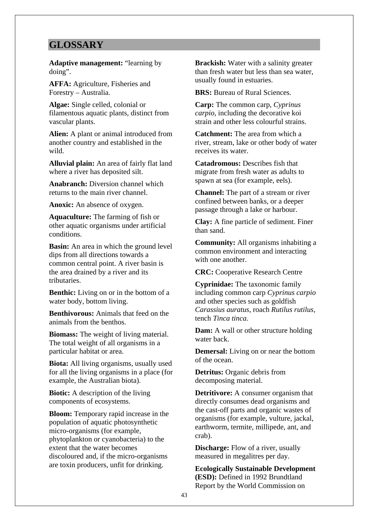# **GLOSSARY**

**Adaptive management:** "learning by doing".

**AFFA:** Agriculture, Fisheries and Forestry – Australia.

**Algae:** Single celled, colonial or filamentous aquatic plants, distinct from vascular plants.

**Alien:** A plant or animal introduced from another country and established in the wild.

**Alluvial plain:** An area of fairly flat land where a river has deposited silt.

**Anabranch:** Diversion channel which returns to the main river channel.

**Anoxic:** An absence of oxygen.

**Aquaculture:** The farming of fish or other aquatic organisms under artificial conditions.

**Basin:** An area in which the ground level dips from all directions towards a common central point. A river basin is the area drained by a river and its tributaries.

**Benthic:** Living on or in the bottom of a water body, bottom living.

**Benthivorous:** Animals that feed on the animals from the benthos.

**Biomass:** The weight of living material. The total weight of all organisms in a particular habitat or area.

**Biota:** All living organisms, usually used for all the living organisms in a place (for example, the Australian biota).

**Biotic:** A description of the living components of ecosystems.

**Bloom:** Temporary rapid increase in the population of aquatic photosynthetic micro-organisms (for example, phytoplankton or cyanobacteria) to the extent that the water becomes discoloured and, if the micro-organisms are toxin producers, unfit for drinking.

**Brackish:** Water with a salinity greater than fresh water but less than sea water, usually found in estuaries.

**BRS:** Bureau of Rural Sciences.

**Carp:** The common carp, *Cyprinus carpio*, including the decorative koi strain and other less colourful strains.

**Catchment:** The area from which a river, stream, lake or other body of water receives its water.

**Catadromous:** Describes fish that migrate from fresh water as adults to spawn at sea (for example, eels).

**Channel:** The part of a stream or river confined between banks, or a deeper passage through a lake or harbour.

**Clay:** A fine particle of sediment. Finer than sand.

**Community:** All organisms inhabiting a common environment and interacting with one another.

**CRC:** Cooperative Research Centre

**Cyprinidae:** The taxonomic family including common carp *Cyprinus carpio* and other species such as goldfish *Carassius auratus*, roach *Rutilus rutilus,*  tench *Tinca tinca.* 

**Dam:** A wall or other structure holding water back.

**Demersal:** Living on or near the bottom of the ocean.

**Detritus:** Organic debris from decomposing material.

**Detritivore:** A consumer organism that directly consumes dead organisms and the cast-off parts and organic wastes of organisms (for example, vulture, jackal, earthworm, termite, millipede, ant, and crab).

**Discharge:** Flow of a river, usually measured in megalitres per day.

**Ecologically Sustainable Development (ESD):** Defined in 1992 Brundtland Report by the World Commission on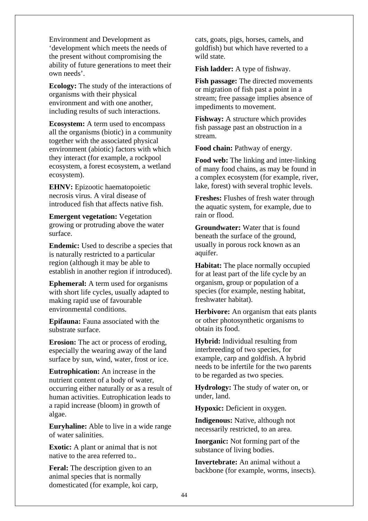Environment and Development as 'development which meets the needs of the present without compromising the ability of future generations to meet their own needs'.

**Ecology:** The study of the interactions of organisms with their physical environment and with one another, including results of such interactions.

**Ecosystem:** A term used to encompass all the organisms (biotic) in a community together with the associated physical environment (abiotic) factors with which they interact (for example, a rockpool ecosystem, a forest ecosystem, a wetland ecosystem).

**EHNV:** Epizootic haematopoietic necrosis virus. A viral disease of introduced fish that affects native fish.

**Emergent vegetation:** Vegetation growing or protruding above the water surface.

**Endemic:** Used to describe a species that is naturally restricted to a particular region (although it may be able to establish in another region if introduced).

**Ephemeral:** A term used for organisms with short life cycles, usually adapted to making rapid use of favourable environmental conditions.

**Epifauna:** Fauna associated with the substrate surface.

**Erosion:** The act or process of eroding, especially the wearing away of the land surface by sun, wind, water, frost or ice.

**Eutrophication:** An increase in the nutrient content of a body of water, occurring either naturally or as a result of human activities. Eutrophication leads to a rapid increase (bloom) in growth of algae.

**Euryhaline:** Able to live in a wide range of water salinities.

**Exotic:** A plant or animal that is not native to the area referred to..

**Feral:** The description given to an animal species that is normally domesticated (for example, koi carp, cats, goats, pigs, horses, camels, and goldfish) but which have reverted to a wild state.

**Fish ladder:** A type of fishway.

**Fish passage:** The directed movements or migration of fish past a point in a stream; free passage implies absence of impediments to movement.

**Fishway:** A structure which provides fish passage past an obstruction in a stream.

**Food chain:** Pathway of energy.

**Food web:** The linking and inter-linking of many food chains, as may be found in a complex ecosystem (for example, river, lake, forest) with several trophic levels.

**Freshes:** Flushes of fresh water through the aquatic system, for example, due to rain or flood.

**Groundwater:** Water that is found beneath the surface of the ground, usually in porous rock known as an aquifer.

**Habitat:** The place normally occupied for at least part of the life cycle by an organism, group or population of a species (for example, nesting habitat, freshwater habitat).

**Herbivore:** An organism that eats plants or other photosynthetic organisms to obtain its food.

**Hybrid:** Individual resulting from interbreeding of two species, for example, carp and goldfish. A hybrid needs to be infertile for the two parents to be regarded as two species.

**Hydrology:** The study of water on, or under, land.

**Hypoxic:** Deficient in oxygen.

**Indigenous:** Native, although not necessarily restricted, to an area.

**Inorganic:** Not forming part of the substance of living bodies.

**Invertebrate:** An animal without a backbone (for example, worms, insects).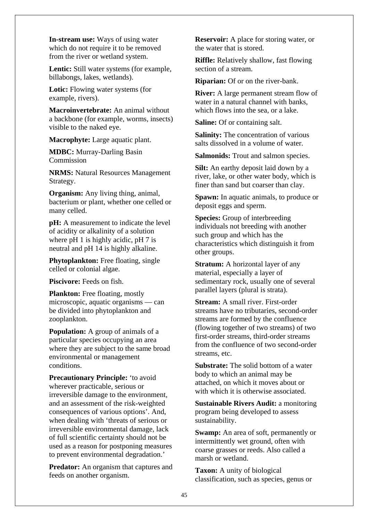**In-stream use:** Ways of using water which do not require it to be removed from the river or wetland system.

**Lentic:** Still water systems (for example, billabongs, lakes, wetlands).

Lotic: Flowing water systems (for example, rivers).

**Macroinvertebrate:** An animal without a backbone (for example, worms, insects) visible to the naked eye.

**Macrophyte:** Large aquatic plant.

**MDBC:** Murray-Darling Basin Commission

**NRMS:** Natural Resources Management Strategy.

**Organism:** Any living thing, animal, bacterium or plant, whether one celled or many celled.

**pH:** A measurement to indicate the level of acidity or alkalinity of a solution where pH 1 is highly acidic, pH 7 is neutral and pH 14 is highly alkaline.

**Phytoplankton:** Free floating, single celled or colonial algae.

**Piscivore:** Feeds on fish.

**Plankton:** Free floating, mostly microscopic, aquatic organisms — can be divided into phytoplankton and zooplankton.

**Population:** A group of animals of a particular species occupying an area where they are subject to the same broad environmental or management conditions.

**Precautionary Principle:** 'to avoid wherever practicable, serious or irreversible damage to the environment, and an assessment of the risk-weighted consequences of various options'. And, when dealing with 'threats of serious or irreversible environmental damage, lack of full scientific certainty should not be used as a reason for postponing measures to prevent environmental degradation.'

**Predator:** An organism that captures and feeds on another organism.

**Reservoir:** A place for storing water, or the water that is stored.

**Riffle:** Relatively shallow, fast flowing section of a stream.

**Riparian:** Of or on the river-bank.

**River:** A large permanent stream flow of water in a natural channel with banks, which flows into the sea, or a lake.

**Saline:** Of or containing salt.

**Salinity:** The concentration of various salts dissolved in a volume of water.

**Salmonids:** Trout and salmon species.

**Silt:** An earthy deposit laid down by a river, lake, or other water body, which is finer than sand but coarser than clay.

**Spawn:** In aquatic animals, to produce or deposit eggs and sperm.

**Species:** Group of interbreeding individuals not breeding with another such group and which has the characteristics which distinguish it from other groups.

**Stratum:** A horizontal layer of any material, especially a layer of sedimentary rock, usually one of several parallel layers (plural is strata).

**Stream:** A small river. First-order streams have no tributaries, second-order streams are formed by the confluence (flowing together of two streams) of two first-order streams, third-order streams from the confluence of two second-order streams, etc.

**Substrate:** The solid bottom of a water body to which an animal may be attached, on which it moves about or with which it is otherwise associated.

**Sustainable Rivers Audit:** a monitoring program being developed to assess sustainability.

**Swamp:** An area of soft, permanently or intermittently wet ground, often with coarse grasses or reeds. Also called a marsh or wetland.

**Taxon:** A unity of biological classification, such as species, genus or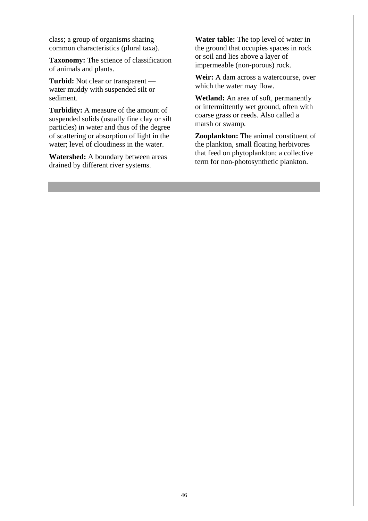class; a group of organisms sharing common characteristics (plural taxa).

**Taxonomy:** The science of classification of animals and plants.

**Turbid:** Not clear or transparent water muddy with suspended silt or sediment.

**Turbidity:** A measure of the amount of suspended solids (usually fine clay or silt particles) in water and thus of the degree of scattering or absorption of light in the water; level of cloudiness in the water.

**Watershed:** A boundary between areas drained by different river systems.

**Water table:** The top level of water in the ground that occupies spaces in rock or soil and lies above a layer of impermeable (non-porous) rock.

**Weir:** A dam across a watercourse, over which the water may flow.

**Wetland:** An area of soft, permanently or intermittently wet ground, often with coarse grass or reeds. Also called a marsh or swamp*.* 

**Zooplankton:** The animal constituent of the plankton, small floating herbivores that feed on phytoplankton; a collective term for non-photosynthetic plankton.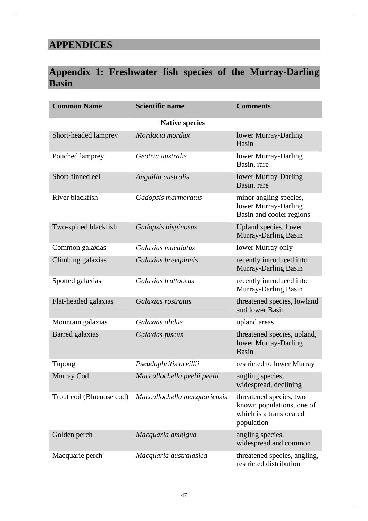# **APPENDICES**

# **Appendix 1: Freshwater fish species of the Murray-Darling Basin**

| <b>Common Name</b>       | <b>Scientific name</b>       | <b>Comments</b>                                                                               |
|--------------------------|------------------------------|-----------------------------------------------------------------------------------------------|
|                          | <b>Native species</b>        |                                                                                               |
| Short-headed lamprey     | Mordacia mordax              | lower Murray-Darling<br><b>Basin</b>                                                          |
| Pouched lamprey          | Geotria australis            | lower Murray-Darling<br>Basin, rare                                                           |
| Short-finned eel         | Anguilla australis           | lower Murray-Darling<br>Basin, rare                                                           |
| River blackfish          | Gadopsis marmoratus          | minor angling species,<br>lower Murray-Darling<br>Basin and cooler regions                    |
| Two-spined blackfish     | Gadopsis bispinosus          | Upland species, lower<br>Murray-Darling Basin                                                 |
| Common galaxias          | Galaxias maculatus           | lower Murray only                                                                             |
| Climbing galaxias        | Galaxias brevipinnis         | recently introduced into<br>Murray-Darling Basin                                              |
| Spotted galaxias         | Galaxias truttaceus          | recently introduced into<br><b>Murray-Darling Basin</b>                                       |
| Flat-headed galaxias     | Galaxias rostratus           | threatened species, lowland<br>and lower Basin                                                |
| Mountain galaxias        | Galaxias olidus              | upland areas                                                                                  |
| Barred galaxias          | Galaxias fuscus              | threatened species, upland,<br>lower Murray-Darling<br>Basin                                  |
| Tupong                   | Pseudaphritis urvillii       | restricted to lower Murray                                                                    |
| Murray Cod               | Maccullochella peelii peelii | angling species.<br>widespread, declining                                                     |
| Trout cod (Bluenose cod) | Maccullochella macquariensis | threatened species, two<br>known populations, one of<br>which is a translocated<br>population |
| Golden perch             | Macquaria ambigua            | angling species,<br>widespread and common                                                     |
| Macquarie perch          | Macquaria australasica       | threatened species, angling,<br>restricted distribution                                       |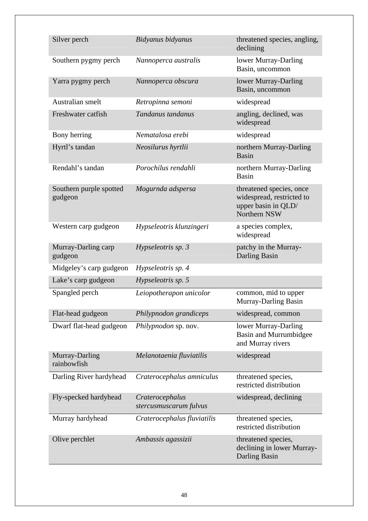| Silver perch                       | Bidyanus bidyanus                         | threatened species, angling,<br>declining                                                    |
|------------------------------------|-------------------------------------------|----------------------------------------------------------------------------------------------|
| Southern pygmy perch               | Nannoperca australis                      | lower Murray-Darling<br>Basin, uncommon                                                      |
| Yarra pygmy perch                  | Nannoperca obscura                        | lower Murray-Darling<br>Basin, uncommon                                                      |
| Australian smelt                   | Retropinna semoni                         | widespread                                                                                   |
| Freshwater catfish                 | Tandanus tandanus                         | angling, declined, was<br>widespread                                                         |
| Bony herring                       | Nematalosa erebi                          | widespread                                                                                   |
| Hyrtl's tandan                     | Neosilurus hyrtlii                        | northern Murray-Darling<br><b>Basin</b>                                                      |
| Rendahl's tandan                   | Porochilus rendahli                       | northern Murray-Darling<br>Basin                                                             |
| Southern purple spotted<br>gudgeon | Mogurnda adspersa                         | threatened species, once<br>widespread, restricted to<br>upper basin in QLD/<br>Northern NSW |
| Western carp gudgeon               | Hypseleotris klunzingeri                  | a species complex,<br>widespread                                                             |
| Murray-Darling carp<br>gudgeon     | Hypseleotris sp. 3                        | patchy in the Murray-<br>Darling Basin                                                       |
| Midgeley's carp gudgeon            | Hypseleotris sp. 4                        |                                                                                              |
| Lake's carp gudgeon                | Hypseleotris sp. 5                        |                                                                                              |
| Spangled perch                     | Leiopotherapon unicolor                   | common, mid to upper<br>Murray-Darling Basin                                                 |
| Flat-head gudgeon                  | Philypnodon grandiceps                    | widespread, common                                                                           |
| Dwarf flat-head gudgeon            | Philypnodon sp. nov.                      | lower Murray-Darling<br><b>Basin and Murrumbidgee</b><br>and Murray rivers                   |
| Murray-Darling<br>rainbowfish      | Melanotaenia fluviatilis                  | widespread                                                                                   |
| Darling River hardyhead            | Craterocephalus amniculus                 | threatened species,<br>restricted distribution                                               |
| Fly-specked hardyhead              | Craterocephalus<br>stercusmuscarum fulvus | widespread, declining                                                                        |
| Murray hardyhead                   | Craterocephalus fluviatilis               | threatened species,<br>restricted distribution                                               |
| Olive perchlet                     | Ambassis agassizii                        | threatened species,<br>declining in lower Murray-<br>Darling Basin                           |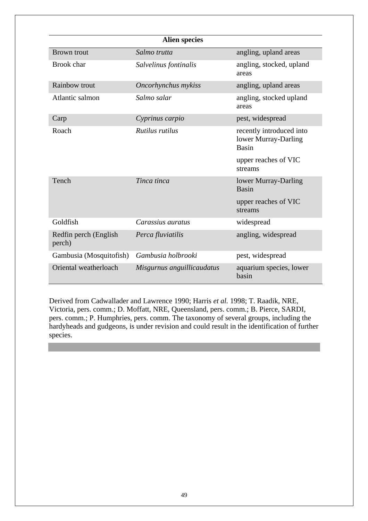|                                 | <b>Alien species</b>       |                                                           |
|---------------------------------|----------------------------|-----------------------------------------------------------|
| <b>Brown</b> trout              | Salmo trutta               | angling, upland areas                                     |
| Brook char                      | Salvelinus fontinalis      | angling, stocked, upland<br>areas                         |
| <b>Rainbow trout</b>            | Oncorhynchus mykiss        | angling, upland areas                                     |
| Atlantic salmon                 | Salmo salar                | angling, stocked upland<br>areas                          |
| Carp                            | Cyprinus carpio            | pest, widespread                                          |
| Roach                           | <i>Rutilus rutilus</i>     | recently introduced into<br>lower Murray-Darling<br>Basin |
|                                 |                            | upper reaches of VIC<br>streams                           |
| Tench                           | Tinca tinca                | lower Murray-Darling<br>Basin                             |
|                                 |                            | upper reaches of VIC<br>streams                           |
| Goldfish                        | Carassius auratus          | widespread                                                |
| Redfin perch (English<br>perch) | Perca fluviatilis          | angling, widespread                                       |
| Gambusia (Mosquitofish)         | Gambusia holbrooki         | pest, widespread                                          |
| Oriental weatherloach           | Misgurnus anguillicaudatus | aquarium species, lower<br>basin                          |

Derived from Cadwallader and Lawrence 1990; Harris *et al.* 1998; T. Raadik, NRE, Victoria, pers. comm.; D. Moffatt, NRE, Queensland, pers. comm.; B. Pierce, SARDI, pers. comm.; P. Humphries, pers. comm. The taxonomy of several groups, including the hardyheads and gudgeons, is under revision and could result in the identification of further species.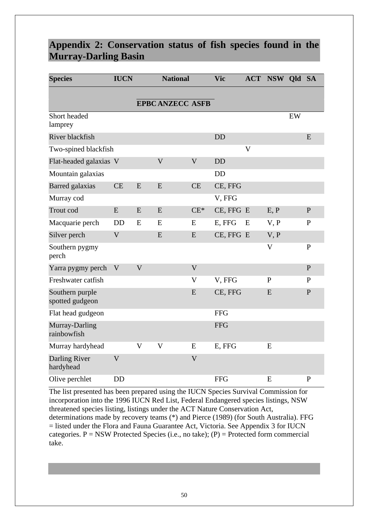# **Appendix 2: Conservation status of fish species found in the Murray-Darling Basin**

| <b>Species</b>                     | <b>IUCN</b>    |                | <b>National</b>         |                         | <b>Vic</b> |                         | <b>ACT NSW Qld SA</b> |    |              |
|------------------------------------|----------------|----------------|-------------------------|-------------------------|------------|-------------------------|-----------------------|----|--------------|
|                                    |                |                | <b>EPBC ANZECC ASFB</b> |                         |            |                         |                       |    |              |
| Short headed<br>lamprey            |                |                |                         |                         |            |                         |                       | EW |              |
| River blackfish                    |                |                |                         |                         | <b>DD</b>  |                         |                       |    | E            |
| Two-spined blackfish               |                |                |                         |                         |            | $\overline{\mathsf{V}}$ |                       |    |              |
| Flat-headed galaxias V             |                |                | $\overline{\mathsf{V}}$ | $\mathbf V$             | <b>DD</b>  |                         |                       |    |              |
| Mountain galaxias                  |                |                |                         |                         | <b>DD</b>  |                         |                       |    |              |
| <b>Barred</b> galaxias             | <b>CE</b>      | E              | E                       | <b>CE</b>               | CE, FFG    |                         |                       |    |              |
| Murray cod                         |                |                |                         |                         | V, FFG     |                         |                       |    |              |
| Trout cod                          | E              | E              | E                       | $CE^*$                  | CE, FFG E  |                         | E, P                  |    | ${\bf P}$    |
| Macquarie perch                    | <b>DD</b>      | E              | E                       | E                       | E, FFG     | E                       | V, P                  |    | $\mathbf{P}$ |
| Silver perch                       | $\mathbf V$    |                | E                       | E                       | CE, FFG E  |                         | V, P                  |    |              |
| Southern pygmy<br>perch            |                |                |                         |                         |            |                         | $\mathbf V$           |    | ${\bf P}$    |
| Yarra pygmy perch                  | V              | $\mathbf{V}$   |                         | $\overline{\mathsf{V}}$ |            |                         |                       |    | $\mathbf{P}$ |
| Freshwater catfish                 |                |                |                         | $\mathbf V$             | V, FFG     |                         | $\mathbf{P}$          |    | $\mathbf{P}$ |
| Southern purple<br>spotted gudgeon |                |                |                         | E                       | CE, FFG    |                         | E                     |    | $\mathbf{P}$ |
| Flat head gudgeon                  |                |                |                         |                         | <b>FFG</b> |                         |                       |    |              |
| Murray-Darling<br>rainbowfish      |                |                |                         |                         | <b>FFG</b> |                         |                       |    |              |
| Murray hardyhead                   |                | $\overline{V}$ | V                       | E                       | E, FFG     |                         | E                     |    |              |
| <b>Darling River</b><br>hardyhead  | $\overline{V}$ |                |                         | $\overline{V}$          |            |                         |                       |    |              |
| Olive perchlet                     | <b>DD</b>      |                |                         |                         | <b>FFG</b> |                         | E                     |    | $\mathbf{P}$ |

The list presented has been prepared using the IUCN Species Survival Commission for incorporation into the 1996 IUCN Red List, Federal Endangered species listings, NSW threatened species listing, listings under the ACT Nature Conservation Act, determinations made by recovery teams (\*) and Pierce (1989) (for South Australia). FFG = listed under the Flora and Fauna Guarantee Act, Victoria. See Appendix 3 for IUCN categories.  $P = NSW$  Protected Species (i.e., no take); (P) = Protected form commercial take.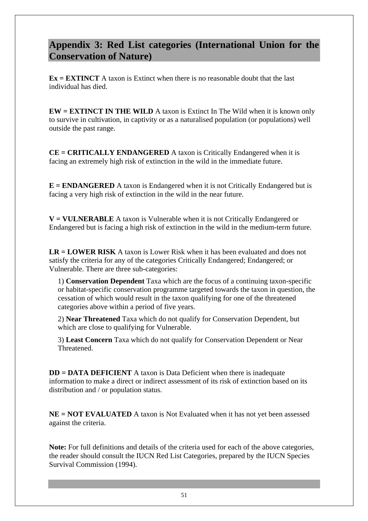# **Appendix 3: Red List categories (International Union for the Conservation of Nature)**

**Ex = EXTINCT** A taxon is Extinct when there is no reasonable doubt that the last individual has died.

**EW = EXTINCT IN THE WILD** A taxon is Extinct In The Wild when it is known only to survive in cultivation, in captivity or as a naturalised population (or populations) well outside the past range.

**CE = CRITICALLY ENDANGERED** A taxon is Critically Endangered when it is facing an extremely high risk of extinction in the wild in the immediate future.

**E** = **ENDANGERED** A taxon is Endangered when it is not Critically Endangered but is facing a very high risk of extinction in the wild in the near future.

**V = VULNERABLE** A taxon is Vulnerable when it is not Critically Endangered or Endangered but is facing a high risk of extinction in the wild in the medium-term future.

**LR = LOWER RISK** A taxon is Lower Risk when it has been evaluated and does not satisfy the criteria for any of the categories Critically Endangered; Endangered; or Vulnerable. There are three sub-categories:

1) **Conservation Dependent** Taxa which are the focus of a continuing taxon-specific or habitat-specific conservation programme targeted towards the taxon in question, the cessation of which would result in the taxon qualifying for one of the threatened categories above within a period of five years.

2) **Near Threatened** Taxa which do not qualify for Conservation Dependent, but which are close to qualifying for Vulnerable.

3) **Least Concern** Taxa which do not qualify for Conservation Dependent or Near Threatened.

**DD = DATA DEFICIENT** A taxon is Data Deficient when there is inadequate information to make a direct or indirect assessment of its risk of extinction based on its distribution and / or population status.

**NE = NOT EVALUATED** A taxon is Not Evaluated when it has not yet been assessed against the criteria.

**Note:** For full definitions and details of the criteria used for each of the above categories, the reader should consult the IUCN Red List Categories, prepared by the IUCN Species Survival Commission (1994).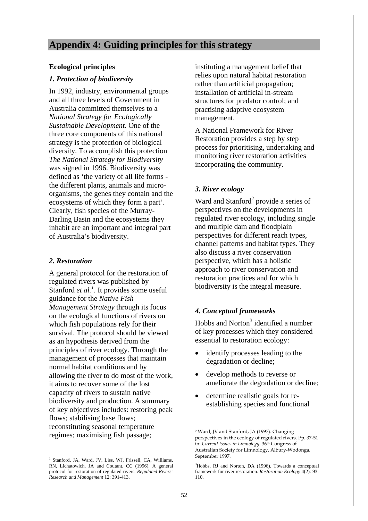# **Appendix 4: Guiding principles for this strategy**

## **Ecological principles**

## *1. Protection of biodiversity*

In 1992, industry, environmental groups and all three levels of Government in Australia committed themselves to a *National Strategy for Ecologically Sustainable Development.* One of the three core components of this national strategy is the protection of biological diversity. To accomplish this protection *The National Strategy for Biodiversity* was signed in 1996. Biodiversity was defined as 'the variety of all life forms the different plants, animals and microorganisms, the genes they contain and the ecosystems of which they form a part'. Clearly, fish species of the Murray-Darling Basin and the ecosystems they inhabit are an important and integral part of Australia's biodiversity.

## *2. Restoration*

 $\overline{a}$ 

A general protocol for the restoration of regulated rivers was published by Stanford *et al.*<sup>1</sup>. It provides some useful guidance for the *Native Fish Management Strategy* through its focus on the ecological functions of rivers on which fish populations rely for their survival. The protocol should be viewed as an hypothesis derived from the principles of river ecology. Through the management of processes that maintain normal habitat conditions and by allowing the river to do most of the work, it aims to recover some of the lost capacity of rivers to sustain native biodiversity and production. A summary of key objectives includes: restoring peak flows; stabilising base flows; reconstituting seasonal temperature regimes; maximising fish passage;

<sup>1</sup> Stanford, JA, Ward, JV, Liss, WJ, Frissell, CA, Williams, RN, Lichatowich, JA and Coutant, CC (1996). A general protocol for restoration of regulated rivers. *Regulated Rivers: Research and Management* 12: 391-413.

instituting a management belief that relies upon natural habitat restoration rather than artificial propagation; installation of artificial in-stream structures for predator control; and practising adaptive ecosystem management.

A National Framework for River Restoration provides a step by step process for prioritising, undertaking and monitoring river restoration activities incorporating the community.

## *3. River ecology*

Ward and Stanford<sup>2</sup> provide a series of perspectives on the developments in regulated river ecology, including single and multiple dam and floodplain perspectives for different reach types, channel patterns and habitat types. They also discuss a river conservation perspective, which has a holistic approach to river conservation and restoration practices and for which biodiversity is the integral measure.

## *4. Conceptual frameworks*

Hobbs and Norton<sup>3</sup> identified a number of key processes which they considered essential to restoration ecology:

- identify processes leading to the degradation or decline;
- develop methods to reverse or ameliorate the degradation or decline;
- determine realistic goals for reestablishing species and functional

 $\overline{a}$ 

<sup>2</sup> Ward, JV and Stanford, JA (1997). Changing perspectives in the ecology of regulated rivers. Pp. 37-51 in: *Current Issues in Limnology*. 36th Congress of Australian Society for Limnology, Albury-Wodonga, September 1997.

<sup>3</sup> Hobbs, RJ and Norton, DA (1996). Towards a conceptual framework for river restoration. *Restoration Ecology* 4(2): 93- 110.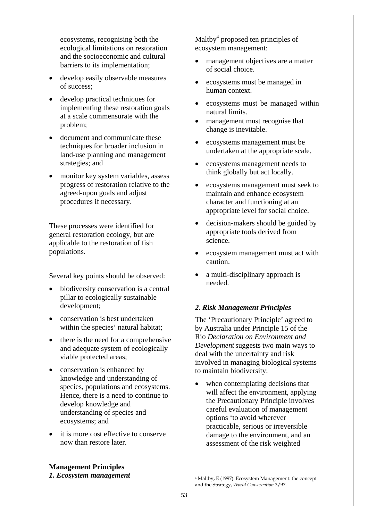ecosystems, recognising both the ecological limitations on restoration and the socioeconomic and cultural barriers to its implementation;

- develop easily observable measures of success;
- develop practical techniques for implementing these restoration goals at a scale commensurate with the problem;
- document and communicate these techniques for broader inclusion in land-use planning and management strategies; and
- monitor key system variables, assess progress of restoration relative to the agreed-upon goals and adjust procedures if necessary.

These processes were identified for general restoration ecology, but are applicable to the restoration of fish populations.

Several key points should be observed:

- biodiversity conservation is a central pillar to ecologically sustainable development;
- conservation is best undertaken within the species' natural habitat;
- there is the need for a comprehensive and adequate system of ecologically viable protected areas;
- conservation is enhanced by knowledge and understanding of species, populations and ecosystems. Hence, there is a need to continue to develop knowledge and understanding of species and ecosystems; and
- it is more cost effective to conserve now than restore later.

Maltby<sup>4</sup> proposed ten principles of ecosystem management:

- management objectives are a matter of social choice.
- ecosystems must be managed in human context.
- ecosystems must be managed within natural limits.
- management must recognise that change is inevitable.
- ecosystems management must be undertaken at the appropriate scale.
- ecosystems management needs to think globally but act locally.
- ecosystems management must seek to maintain and enhance ecosystem character and functioning at an appropriate level for social choice.
- decision-makers should be guided by appropriate tools derived from science.
- ecosystem management must act with caution.
- a multi-disciplinary approach is needed.

## *2. Risk Management Principles*

The 'Precautionary Principle' agreed to by Australia under Principle 15 of the Rio *Declaration on Environment and Development*suggests two main ways to deal with the uncertainty and risk involved in managing biological systems to maintain biodiversity:

when contemplating decisions that will affect the environment, applying the Precautionary Principle involves careful evaluation of management options 'to avoid wherever practicable, serious or irreversible damage to the environment, and an assessment of the risk weighted

 $\overline{a}$ 

**Management Principles**  *1. Ecosystem management* 

<sup>4</sup> Maltby, E (1997). Ecosystem Management: the concept and the Strategy, *World Conservation* 3/97.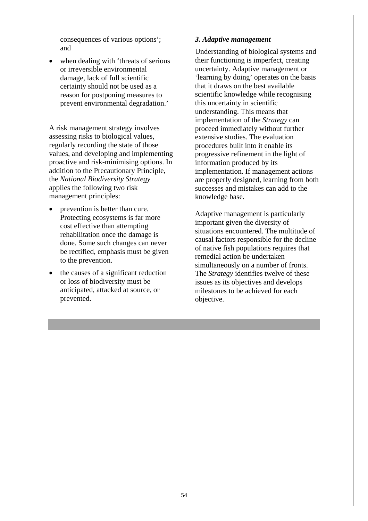consequences of various options'; and

when dealing with 'threats of serious or irreversible environmental damage, lack of full scientific certainty should not be used as a reason for postponing measures to prevent environmental degradation.'

A risk management strategy involves assessing risks to biological values, regularly recording the state of those values, and developing and implementing proactive and risk-minimising options. In addition to the Precautionary Principle, the *National Biodiversity Strategy* applies the following two risk management principles:

- prevention is better than cure. Protecting ecosystems is far more cost effective than attempting rehabilitation once the damage is done. Some such changes can never be rectified, emphasis must be given to the prevention.
- the causes of a significant reduction or loss of biodiversity must be anticipated, attacked at source, or prevented.

## *3. Adaptive management*

Understanding of biological systems and their functioning is imperfect, creating uncertainty. Adaptive management or 'learning by doing' operates on the basis that it draws on the best available scientific knowledge while recognising this uncertainty in scientific understanding. This means that implementation of the *Strategy* can proceed immediately without further extensive studies. The evaluation procedures built into it enable its progressive refinement in the light of information produced by its implementation. If management actions are properly designed, learning from both successes and mistakes can add to the knowledge base.

Adaptive management is particularly important given the diversity of situations encountered. The multitude of causal factors responsible for the decline of native fish populations requires that remedial action be undertaken simultaneously on a number of fronts. The *Strategy* identifies twelve of these issues as its objectives and develops milestones to be achieved for each objective.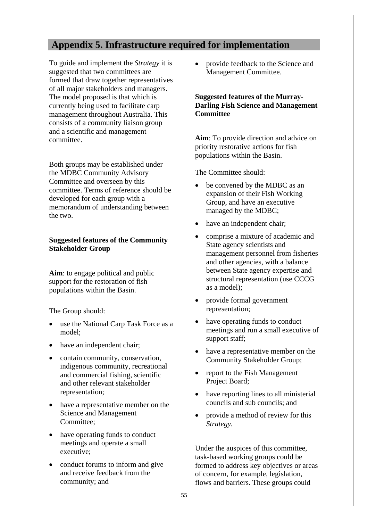# **Appendix 5. Infrastructure required for implementation**

To guide and implement the *Strategy* it is suggested that two committees are formed that draw together representatives of all major stakeholders and managers. The model proposed is that which is currently being used to facilitate carp management throughout Australia. This consists of a community liaison group and a scientific and management committee.

Both groups may be established under the MDBC Community Advisory Committee and overseen by this committee. Terms of reference should be developed for each group with a memorandum of understanding between the two.

## **Suggested features of the Community Stakeholder Group**

**Aim**: to engage political and public support for the restoration of fish populations within the Basin.

The Group should:

- use the National Carp Task Force as a model;
- have an independent chair;
- contain community, conservation, indigenous community, recreational and commercial fishing, scientific and other relevant stakeholder representation;
- have a representative member on the Science and Management Committee;
- have operating funds to conduct meetings and operate a small executive;
- conduct forums to inform and give and receive feedback from the community; and

• provide feedback to the Science and Management Committee.

## **Suggested features of the Murray-Darling Fish Science and Management Committee**

**Aim**: To provide direction and advice on priority restorative actions for fish populations within the Basin.

The Committee should:

- be convened by the MDBC as an expansion of their Fish Working Group, and have an executive managed by the MDBC;
- have an independent chair;
- comprise a mixture of academic and State agency scientists and management personnel from fisheries and other agencies, with a balance between State agency expertise and structural representation (use CCCG as a model);
- provide formal government representation;
- have operating funds to conduct meetings and run a small executive of support staff;
- have a representative member on the Community Stakeholder Group;
- report to the Fish Management Project Board;
- have reporting lines to all ministerial councils and sub councils; and
- provide a method of review for this *Strategy.*

Under the auspices of this committee, task-based working groups could be formed to address key objectives or areas of concern, for example, legislation, flows and barriers. These groups could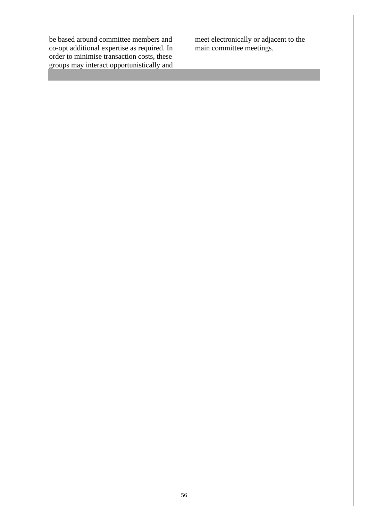be based around committee members and co-opt additional expertise as required. In order to minimise transaction costs, these groups may interact opportunistically and

meet electronically or adjacent to the main committee meetings.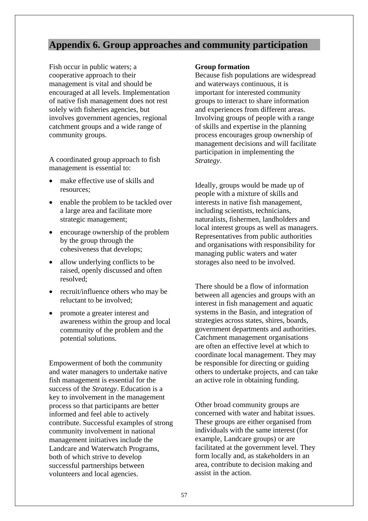# **Appendix 6. Group approaches and community participation**

Fish occur in public waters; a cooperative approach to their management is vital and should be encouraged at all levels. Implementation of native fish management does not rest solely with fisheries agencies, but involves government agencies, regional catchment groups and a wide range of community groups.

A coordinated group approach to fish management is essential to:

- make effective use of skills and resources;
- enable the problem to be tackled over a large area and facilitate more strategic management;
- encourage ownership of the problem by the group through the cohesiveness that develops;
- allow underlying conflicts to be raised, openly discussed and often resolved;
- recruit/influence others who may be reluctant to be involved;
- promote a greater interest and awareness within the group and local community of the problem and the potential solutions.

Empowerment of both the community and water managers to undertake native fish management is essential for the success of the *Strategy*. Education is a key to involvement in the management process so that participants are better informed and feel able to actively contribute. Successful examples of strong community involvement in national management initiatives include the Landcare and Waterwatch Programs, both of which strive to develop successful partnerships between volunteers and local agencies.

## **Group formation**

Because fish populations are widespread and waterways continuous, it is important for interested community groups to interact to share information and experiences from different areas. Involving groups of people with a range of skills and expertise in the planning process encourages group ownership of management decisions and will facilitate participation in implementing the *Strategy*.

Ideally, groups would be made up of people with a mixture of skills and interests in native fish management, including scientists, technicians, naturalists, fishermen, landholders and local interest groups as well as managers. Representatives from public authorities and organisations with responsibility for managing public waters and water storages also need to be involved.

There should be a flow of information between all agencies and groups with an interest in fish management and aquatic systems in the Basin, and integration of strategies across states, shires, boards, government departments and authorities. Catchment management organisations are often an effective level at which to coordinate local management. They may be responsible for directing or guiding others to undertake projects, and can take an active role in obtaining funding.

Other broad community groups are concerned with water and habitat issues. These groups are either organised from individuals with the same interest (for example, Landcare groups) or are facilitated at the government level. They form locally and, as stakeholders in an area, contribute to decision making and assist in the action.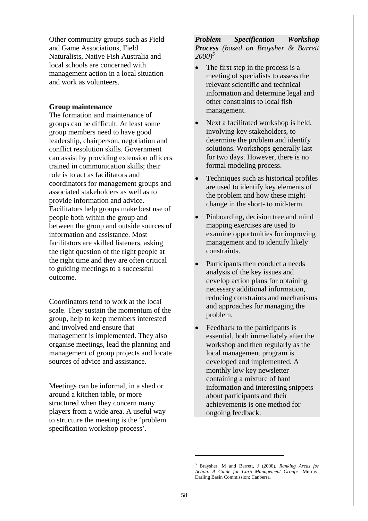Other community groups such as Field and Game Associations, Field Naturalists, Native Fish Australia and local schools are concerned with management action in a local situation and work as volunteers.

#### **Group maintenance**

The formation and maintenance of groups can be difficult. At least some group members need to have good leadership, chairperson, negotiation and conflict resolution skills. Government can assist by providing extension officers trained in communication skills; their role is to act as facilitators and coordinators for management groups and associated stakeholders as well as to provide information and advice. Facilitators help groups make best use of people both within the group and between the group and outside sources of information and assistance. Most facilitators are skilled listeners, asking the right question of the right people at the right time and they are often critical to guiding meetings to a successful outcome.

Coordinators tend to work at the local scale. They sustain the momentum of the group, help to keep members interested and involved and ensure that management is implemented. They also organise meetings, lead the planning and management of group projects and locate sources of advice and assistance.

Meetings can be informal, in a shed or around a kitchen table, or more structured when they concern many players from a wide area. A useful way to structure the meeting is the 'problem specification workshop process'.

#### *Problem Specification Workshop Process (based on Braysher & Barrett 2000)5*

- The first step in the process is a meeting of specialists to assess the relevant scientific and technical information and determine legal and other constraints to local fish management.
- Next a facilitated workshop is held, involving key stakeholders, to determine the problem and identify solutions. Workshops generally last for two days. However, there is no formal modeling process.
- Techniques such as historical profiles are used to identify key elements of the problem and how these might change in the short- to mid-term.
- Pinboarding, decision tree and mind mapping exercises are used to examine opportunities for improving management and to identify likely constraints.
- Participants then conduct a needs analysis of the key issues and develop action plans for obtaining necessary additional information, reducing constraints and mechanisms and approaches for managing the problem.
- Feedback to the participants is essential, both immediately after the workshop and then regularly as the local management program is developed and implemented. A monthly low key newsletter containing a mixture of hard information and interesting snippets about participants and their achievements is one method for ongoing feedback.

 $\overline{a}$ 

<sup>5</sup> Braysher, M and Barrett, J (2000). *Ranking Areas for Action: A Guide for Carp Management Groups.* Murray-Darling Basin Commission: Canberra.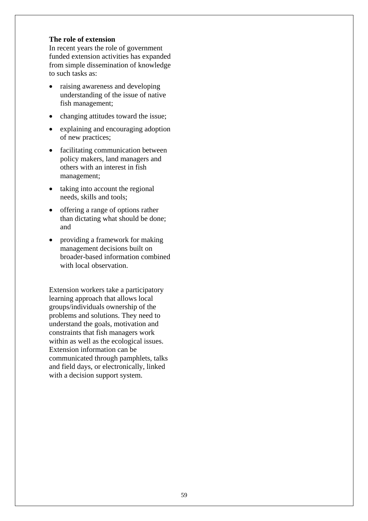#### **The role of extension**

In recent years the role of government funded extension activities has expanded from simple dissemination of knowledge to such tasks as:

- raising awareness and developing understanding of the issue of native fish management;
- changing attitudes toward the issue;
- explaining and encouraging adoption of new practices;
- facilitating communication between policy makers, land managers and others with an interest in fish management;
- taking into account the regional needs, skills and tools;
- offering a range of options rather than dictating what should be done; and
- providing a framework for making management decisions built on broader-based information combined with local observation.

Extension workers take a participatory learning approach that allows local groups/individuals ownership of the problems and solutions. They need to understand the goals, motivation and constraints that fish managers work within as well as the ecological issues. Extension information can be communicated through pamphlets, talks and field days, or electronically, linked with a decision support system.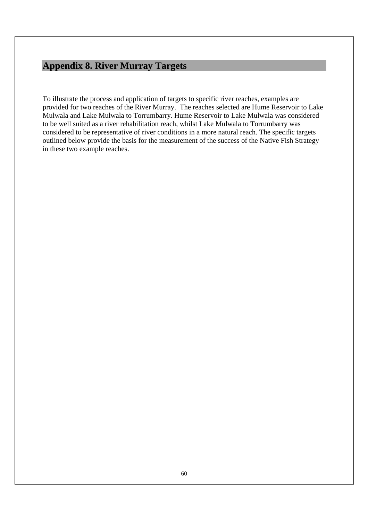# **Appendix 8. River Murray Targets**

To illustrate the process and application of targets to specific river reaches, examples are provided for two reaches of the River Murray. The reaches selected are Hume Reservoir to Lake Mulwala and Lake Mulwala to Torrumbarry. Hume Reservoir to Lake Mulwala was considered to be well suited as a river rehabilitation reach, whilst Lake Mulwala to Torrumbarry was considered to be representative of river conditions in a more natural reach. The specific targets outlined below provide the basis for the measurement of the success of the Native Fish Strategy in these two example reaches.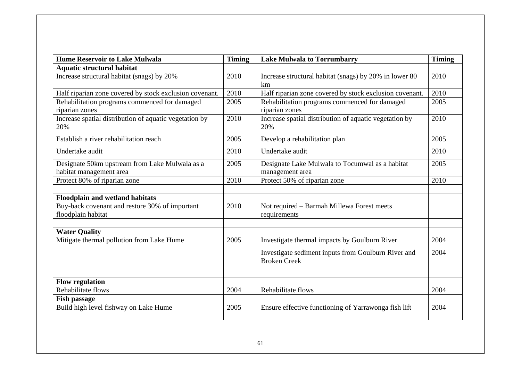| <b>Hume Reservoir to Lake Mulwala</b>                                     | <b>Timing</b> | <b>Lake Mulwala to Torrumbarry</b>                                         | <b>Timing</b> |
|---------------------------------------------------------------------------|---------------|----------------------------------------------------------------------------|---------------|
| <b>Aquatic structural habitat</b>                                         |               |                                                                            |               |
| Increase structural habitat (snags) by 20%                                | 2010          | Increase structural habitat (snags) by 20% in lower 80<br>km               | 2010          |
| Half riparian zone covered by stock exclusion covenant.                   | 2010          | Half riparian zone covered by stock exclusion covenant.                    | 2010          |
| Rehabilitation programs commenced for damaged<br>riparian zones           | 2005          | Rehabilitation programs commenced for damaged<br>riparian zones            | 2005          |
| Increase spatial distribution of aquatic vegetation by<br>20%             | 2010          | Increase spatial distribution of aquatic vegetation by<br>20%              | 2010          |
| Establish a river rehabilitation reach                                    | 2005          | Develop a rehabilitation plan                                              | 2005          |
| Undertake audit                                                           | 2010          | Undertake audit                                                            | 2010          |
| Designate 50km upstream from Lake Mulwala as a<br>habitat management area | 2005          | Designate Lake Mulwala to Tocumwal as a habitat<br>management area         | 2005          |
| Protect 80% of riparian zone                                              | 2010          | Protect 50% of riparian zone                                               | 2010          |
| <b>Floodplain and wetland habitats</b>                                    |               |                                                                            |               |
| Buy-back covenant and restore 30% of important<br>floodplain habitat      | 2010          | Not required - Barmah Millewa Forest meets<br>requirements                 |               |
| <b>Water Quality</b>                                                      |               |                                                                            |               |
| Mitigate thermal pollution from Lake Hume                                 | 2005          | Investigate thermal impacts by Goulburn River                              | 2004          |
|                                                                           |               | Investigate sediment inputs from Goulburn River and<br><b>Broken Creek</b> | 2004          |
|                                                                           |               |                                                                            |               |
| <b>Flow regulation</b>                                                    |               |                                                                            |               |
| Rehabilitate flows<br><b>Fish passage</b>                                 | 2004          | Rehabilitate flows                                                         | 2004          |
| Build high level fishway on Lake Hume                                     | 2005          | Ensure effective functioning of Yarrawonga fish lift                       | 2004          |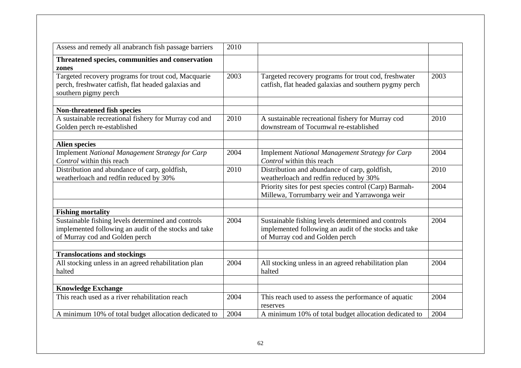| Assess and remedy all anabranch fish passage barriers                                                                              | 2010 |                                                                                                                |      |
|------------------------------------------------------------------------------------------------------------------------------------|------|----------------------------------------------------------------------------------------------------------------|------|
| Threatened species, communities and conservation                                                                                   |      |                                                                                                                |      |
| zones                                                                                                                              |      |                                                                                                                |      |
| Targeted recovery programs for trout cod, Macquarie<br>perch, freshwater catfish, flat headed galaxias and<br>southern pigmy perch | 2003 | Targeted recovery programs for trout cod, freshwater<br>catfish, flat headed galaxias and southern pygmy perch | 2003 |
| Non-threatened fish species                                                                                                        |      |                                                                                                                |      |
| A sustainable recreational fishery for Murray cod and                                                                              | 2010 | A sustainable recreational fishery for Murray cod                                                              | 2010 |
| Golden perch re-established                                                                                                        |      | downstream of Tocumwal re-established                                                                          |      |
| <b>Alien species</b>                                                                                                               |      |                                                                                                                |      |
| Implement National Management Strategy for Carp                                                                                    | 2004 | Implement National Management Strategy for Carp                                                                | 2004 |
| Control within this reach                                                                                                          |      | Control within this reach                                                                                      |      |
| Distribution and abundance of carp, goldfish,                                                                                      | 2010 | Distribution and abundance of carp, goldfish,                                                                  | 2010 |
| weatherloach and redfin reduced by 30%                                                                                             |      | weatherloach and redfin reduced by 30%                                                                         |      |
|                                                                                                                                    |      | Priority sites for pest species control (Carp) Barmah-                                                         | 2004 |
|                                                                                                                                    |      | Millewa, Torrumbarry weir and Yarrawonga weir                                                                  |      |
| <b>Fishing mortality</b>                                                                                                           |      |                                                                                                                |      |
| Sustainable fishing levels determined and controls                                                                                 | 2004 | Sustainable fishing levels determined and controls                                                             | 2004 |
| implemented following an audit of the stocks and take                                                                              |      | implemented following an audit of the stocks and take                                                          |      |
| of Murray cod and Golden perch                                                                                                     |      | of Murray cod and Golden perch                                                                                 |      |
| <b>Translocations and stockings</b>                                                                                                |      |                                                                                                                |      |
| All stocking unless in an agreed rehabilitation plan                                                                               | 2004 | All stocking unless in an agreed rehabilitation plan                                                           | 2004 |
| halted                                                                                                                             |      | halted                                                                                                         |      |
| <b>Knowledge Exchange</b>                                                                                                          |      |                                                                                                                |      |
| This reach used as a river rehabilitation reach                                                                                    | 2004 | This reach used to assess the performance of aquatic<br>reserves                                               | 2004 |
| A minimum 10% of total budget allocation dedicated to                                                                              | 2004 | A minimum 10% of total budget allocation dedicated to                                                          | 2004 |